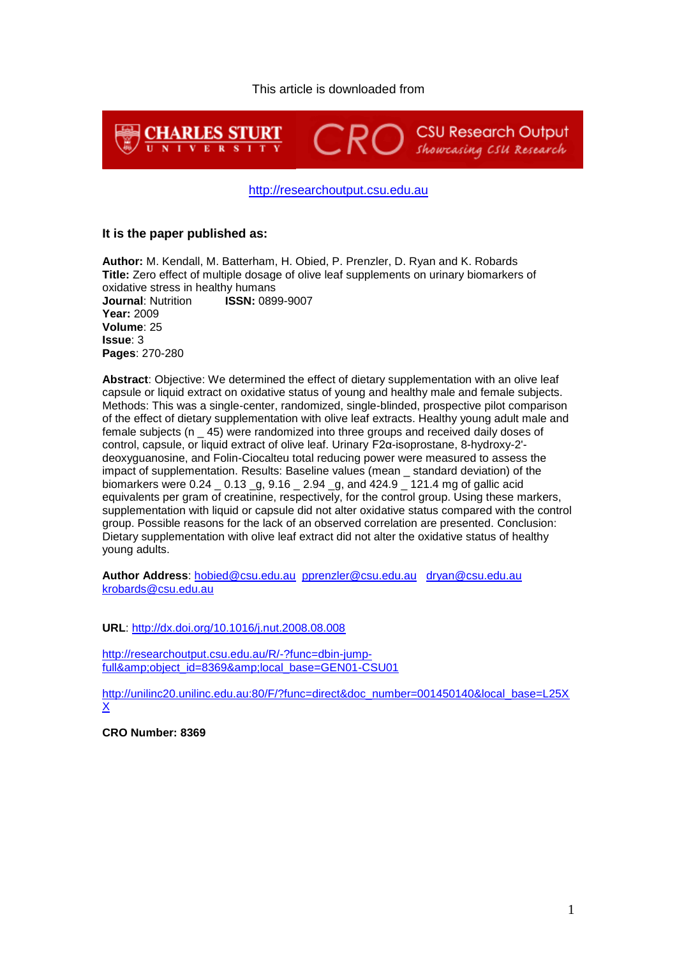### This article is downloaded from



#### [http://researchoutput.csu.edu.au](http://researchoutput.csu.edu.au/)

#### **It is the paper published as:**

**Author:** M. Kendall, M. Batterham, H. Obied, P. Prenzler, D. Ryan and K. Robards **Title:** Zero effect of multiple dosage of olive leaf supplements on urinary biomarkers of oxidative stress in healthy humans **Journal**: Nutrition **ISSN:** 0899-9007 **Year:** 2009 **Volume**: 25 **Issue**: 3 **Pages**: 270-280

**Abstract**: Objective: We determined the effect of dietary supplementation with an olive leaf capsule or liquid extract on oxidative status of young and healthy male and female subjects. Methods: This was a single-center, randomized, single-blinded, prospective pilot comparison of the effect of dietary supplementation with olive leaf extracts. Healthy young adult male and female subjects (n \_ 45) were randomized into three groups and received daily doses of control, capsule, or liquid extract of olive leaf. Urinary F2α-isoprostane, 8-hydroxy-2' deoxyguanosine, and Folin-Ciocalteu total reducing power were measured to assess the impact of supplementation. Results: Baseline values (mean \_ standard deviation) of the biomarkers were 0.24 \_ 0.13 \_g, 9.16 \_ 2.94 \_g, and 424.9 \_ 121.4 mg of gallic acid equivalents per gram of creatinine, respectively, for the control group. Using these markers, supplementation with liquid or capsule did not alter oxidative status compared with the control group. Possible reasons for the lack of an observed correlation are presented. Conclusion: Dietary supplementation with olive leaf extract did not alter the oxidative status of healthy young adults.

**Author Address**: [hobied@csu.edu.au](mailto:hobied@csu.edu.au) [pprenzler@csu.edu.au](mailto:pprenzler@csu.edu.au) [dryan@csu.edu.au](mailto:dryan@csu.edu.au)  [krobards@csu.edu.au](mailto:krobards@csu.edu.au)

**URL**:<http://dx.doi.org/10.1016/j.nut.2008.08.008>

[http://researchoutput.csu.edu.au/R/-?func=dbin-jump](http://researchoutput.csu.edu.au/R/-?func=dbin-jump-full&object_id=8369&local_base=GEN01-CSU01)full&amp:object\_id=8369&amp:local\_base=GEN01-CSU01

[http://unilinc20.unilinc.edu.au:80/F/?func=direct&doc\\_number=001450140&local\\_base=L25X](http://unilinc20.unilinc.edu.au/F/?func=direct&doc_number=001450140&local_base=L25XX) [X](http://unilinc20.unilinc.edu.au/F/?func=direct&doc_number=001450140&local_base=L25XX)

**CRO Number: 8369**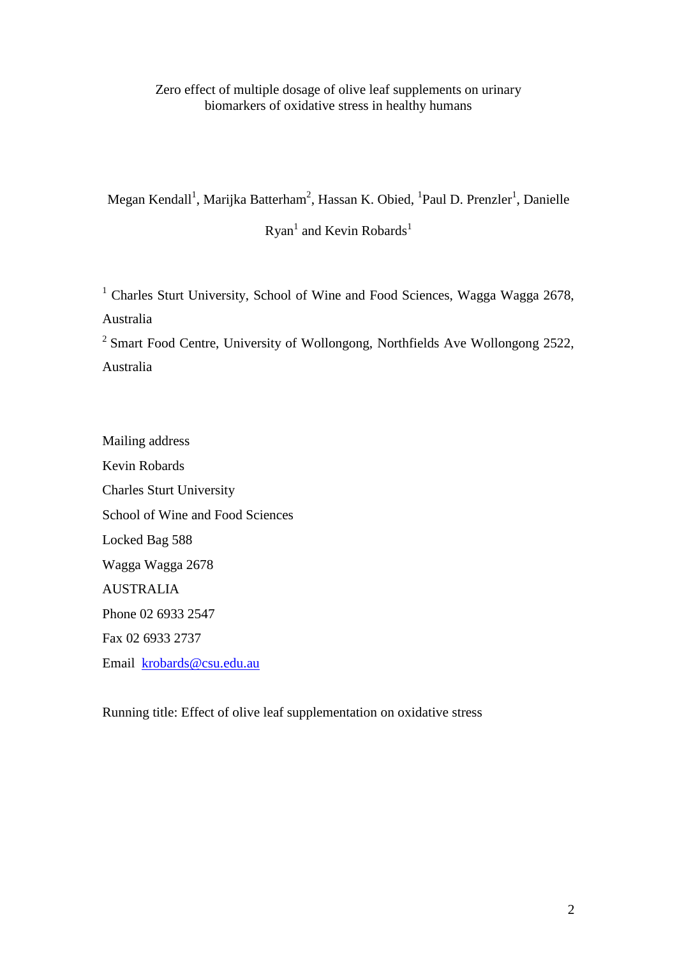## Zero effect of multiple dosage of olive leaf supplements on urinary biomarkers of oxidative stress in healthy humans

Megan Kendall<sup>1</sup>, Marijka Batterham<sup>2</sup>, Hassan K. Obied, <sup>1</sup>Paul D. Prenzler<sup>1</sup>, Danielle

 $Ryan<sup>1</sup>$  and Kevin Robards<sup>1</sup>

<sup>1</sup> Charles Sturt University, School of Wine and Food Sciences, Wagga Wagga 2678, Australia

<sup>2</sup> Smart Food Centre, University of Wollongong, Northfields Ave Wollongong 2522, Australia

Mailing address Kevin Robards Charles Sturt University School of Wine and Food Sciences Locked Bag 588 Wagga Wagga 2678 AUSTRALIA Phone 02 6933 2547 Fax 02 6933 2737 Email [krobards@csu.edu.au](mailto:krobards@csu.edu.au)

Running title: Effect of olive leaf supplementation on oxidative stress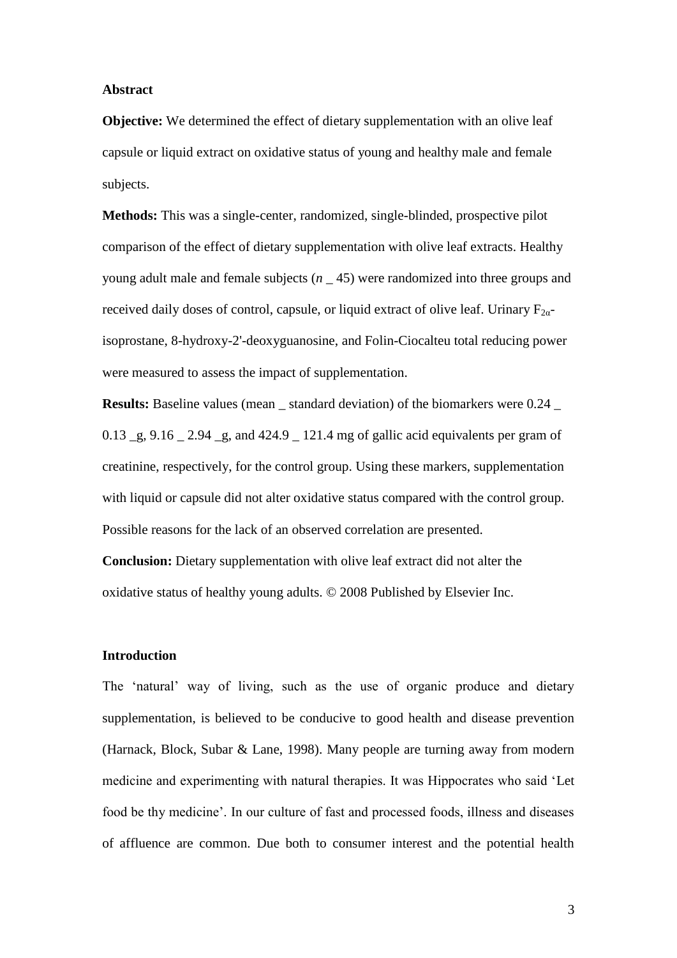#### **Abstract**

**Objective:** We determined the effect of dietary supplementation with an olive leaf capsule or liquid extract on oxidative status of young and healthy male and female subjects.

**Methods:** This was a single-center, randomized, single-blinded, prospective pilot comparison of the effect of dietary supplementation with olive leaf extracts. Healthy young adult male and female subjects (*n* \_ 45) were randomized into three groups and received daily doses of control, capsule, or liquid extract of olive leaf. Urinary  $F_{2\alpha}$ isoprostane, 8-hydroxy-2'-deoxyguanosine, and Folin-Ciocalteu total reducing power were measured to assess the impact of supplementation.

**Results:** Baseline values (mean \_ standard deviation) of the biomarkers were 0.24 \_ 0.13 \_g, 9.16 \_ 2.94 \_g, and 424.9 \_ 121.4 mg of gallic acid equivalents per gram of creatinine, respectively, for the control group. Using these markers, supplementation with liquid or capsule did not alter oxidative status compared with the control group. Possible reasons for the lack of an observed correlation are presented.

**Conclusion:** Dietary supplementation with olive leaf extract did not alter the oxidative status of healthy young adults. © 2008 Published by Elsevier Inc.

### **Introduction**

The 'natural' way of living, such as the use of organic produce and dietary supplementation, is believed to be conducive to good health and disease prevention (Harnack, Block, Subar & Lane, 1998). Many people are turning away from modern medicine and experimenting with natural therapies. It was Hippocrates who said 'Let food be thy medicine'. In our culture of fast and processed foods, illness and diseases of affluence are common. Due both to consumer interest and the potential health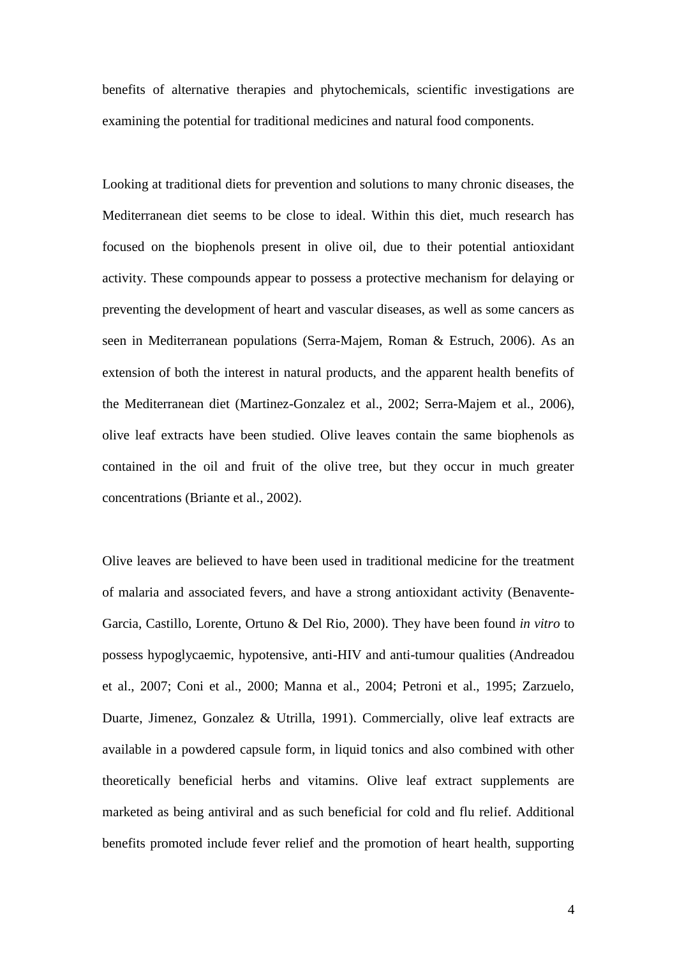benefits of alternative therapies and phytochemicals, scientific investigations are examining the potential for traditional medicines and natural food components.

Looking at traditional diets for prevention and solutions to many chronic diseases, the Mediterranean diet seems to be close to ideal. Within this diet, much research has focused on the biophenols present in olive oil, due to their potential antioxidant activity. These compounds appear to possess a protective mechanism for delaying or preventing the development of heart and vascular diseases, as well as some cancers as seen in Mediterranean populations (Serra-Majem, Roman & Estruch, 2006). As an extension of both the interest in natural products, and the apparent health benefits of the Mediterranean diet (Martinez-Gonzalez et al., 2002; Serra-Majem et al., 2006), olive leaf extracts have been studied. Olive leaves contain the same biophenols as contained in the oil and fruit of the olive tree, but they occur in much greater concentrations (Briante et al., 2002).

Olive leaves are believed to have been used in traditional medicine for the treatment of malaria and associated fevers, and have a strong antioxidant activity (Benavente-Garcia, Castillo, Lorente, Ortuno & Del Rio, 2000). They have been found *in vitro* to possess hypoglycaemic, hypotensive, anti-HIV and anti-tumour qualities (Andreadou et al., 2007; Coni et al., 2000; Manna et al., 2004; Petroni et al., 1995; Zarzuelo, Duarte, Jimenez, Gonzalez & Utrilla, 1991). Commercially, olive leaf extracts are available in a powdered capsule form, in liquid tonics and also combined with other theoretically beneficial herbs and vitamins. Olive leaf extract supplements are marketed as being antiviral and as such beneficial for cold and flu relief. Additional benefits promoted include fever relief and the promotion of heart health, supporting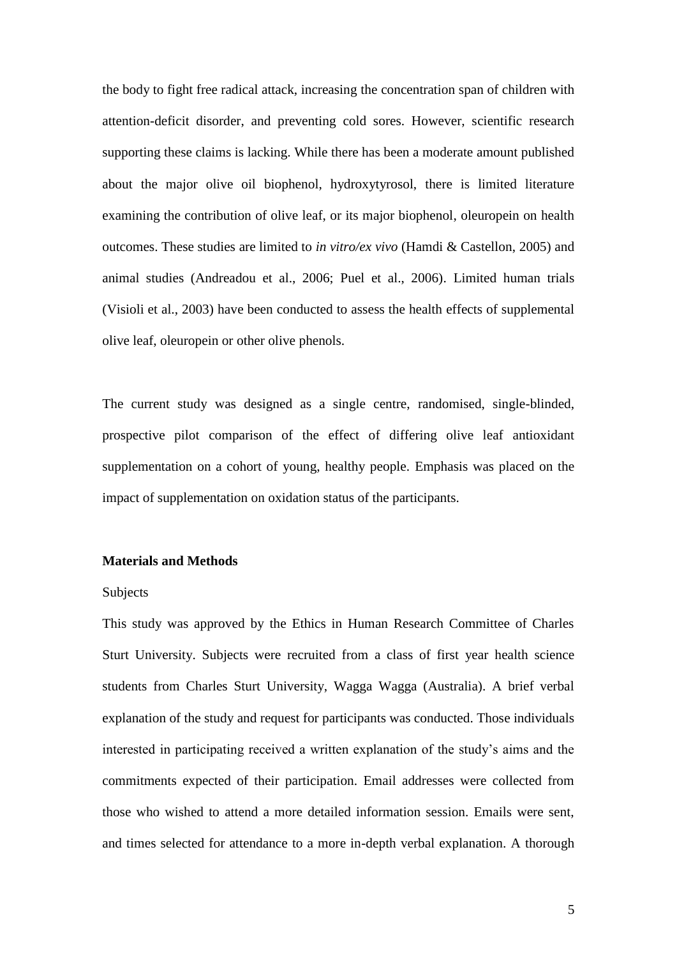the body to fight free radical attack, increasing the concentration span of children with attention-deficit disorder, and preventing cold sores. However, scientific research supporting these claims is lacking. While there has been a moderate amount published about the major olive oil biophenol, hydroxytyrosol, there is limited literature examining the contribution of olive leaf, or its major biophenol, oleuropein on health outcomes. These studies are limited to *in vitro/ex vivo* (Hamdi & Castellon, 2005) and animal studies (Andreadou et al., 2006; Puel et al., 2006). Limited human trials (Visioli et al., 2003) have been conducted to assess the health effects of supplemental olive leaf, oleuropein or other olive phenols.

The current study was designed as a single centre, randomised, single-blinded, prospective pilot comparison of the effect of differing olive leaf antioxidant supplementation on a cohort of young, healthy people. Emphasis was placed on the impact of supplementation on oxidation status of the participants.

#### **Materials and Methods**

#### Subjects

This study was approved by the Ethics in Human Research Committee of Charles Sturt University. Subjects were recruited from a class of first year health science students from Charles Sturt University, Wagga Wagga (Australia). A brief verbal explanation of the study and request for participants was conducted. Those individuals interested in participating received a written explanation of the study's aims and the commitments expected of their participation. Email addresses were collected from those who wished to attend a more detailed information session. Emails were sent, and times selected for attendance to a more in-depth verbal explanation. A thorough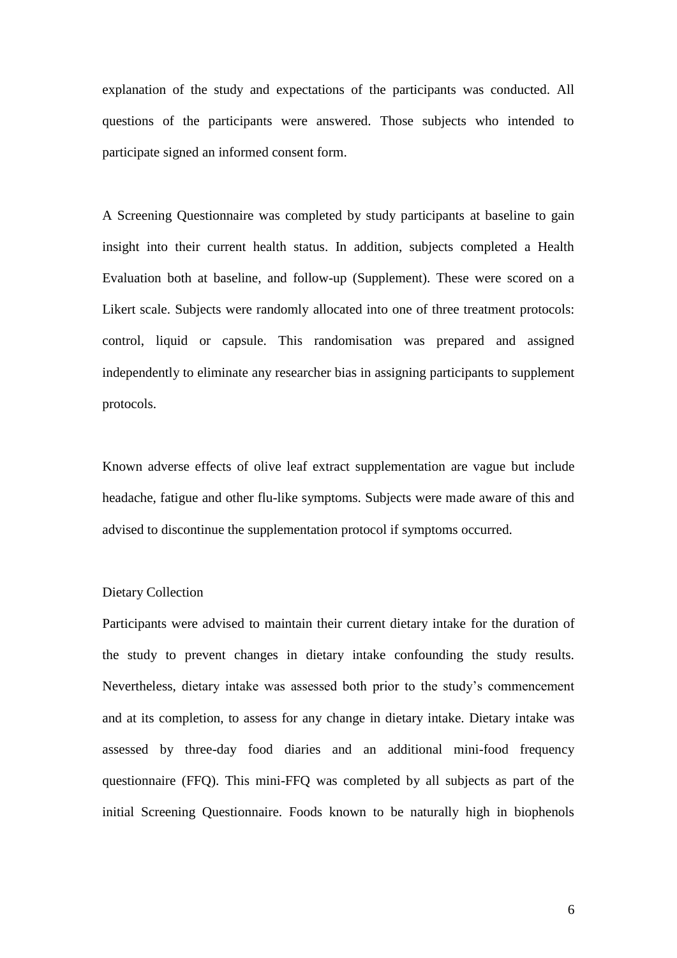explanation of the study and expectations of the participants was conducted. All questions of the participants were answered. Those subjects who intended to participate signed an informed consent form.

A Screening Questionnaire was completed by study participants at baseline to gain insight into their current health status. In addition, subjects completed a Health Evaluation both at baseline, and follow-up (Supplement). These were scored on a Likert scale. Subjects were randomly allocated into one of three treatment protocols: control, liquid or capsule. This randomisation was prepared and assigned independently to eliminate any researcher bias in assigning participants to supplement protocols.

Known adverse effects of olive leaf extract supplementation are vague but include headache, fatigue and other flu-like symptoms. Subjects were made aware of this and advised to discontinue the supplementation protocol if symptoms occurred.

## Dietary Collection

Participants were advised to maintain their current dietary intake for the duration of the study to prevent changes in dietary intake confounding the study results. Nevertheless, dietary intake was assessed both prior to the study's commencement and at its completion, to assess for any change in dietary intake. Dietary intake was assessed by three-day food diaries and an additional mini-food frequency questionnaire (FFQ). This mini-FFQ was completed by all subjects as part of the initial Screening Questionnaire. Foods known to be naturally high in biophenols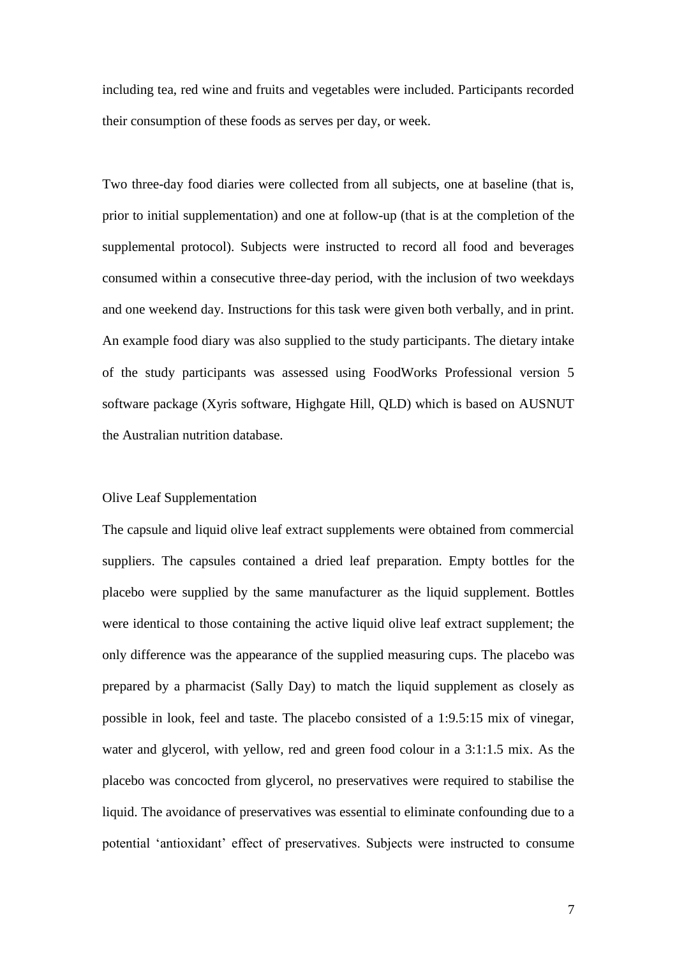including tea, red wine and fruits and vegetables were included. Participants recorded their consumption of these foods as serves per day, or week.

Two three-day food diaries were collected from all subjects, one at baseline (that is, prior to initial supplementation) and one at follow-up (that is at the completion of the supplemental protocol). Subjects were instructed to record all food and beverages consumed within a consecutive three-day period, with the inclusion of two weekdays and one weekend day. Instructions for this task were given both verbally, and in print. An example food diary was also supplied to the study participants. The dietary intake of the study participants was assessed using FoodWorks Professional version 5 software package (Xyris software, Highgate Hill, QLD) which is based on AUSNUT the Australian nutrition database.

#### Olive Leaf Supplementation

The capsule and liquid olive leaf extract supplements were obtained from commercial suppliers. The capsules contained a dried leaf preparation. Empty bottles for the placebo were supplied by the same manufacturer as the liquid supplement. Bottles were identical to those containing the active liquid olive leaf extract supplement; the only difference was the appearance of the supplied measuring cups. The placebo was prepared by a pharmacist (Sally Day) to match the liquid supplement as closely as possible in look, feel and taste. The placebo consisted of a 1:9.5:15 mix of vinegar, water and glycerol, with yellow, red and green food colour in a 3:1:1.5 mix. As the placebo was concocted from glycerol, no preservatives were required to stabilise the liquid. The avoidance of preservatives was essential to eliminate confounding due to a potential 'antioxidant' effect of preservatives. Subjects were instructed to consume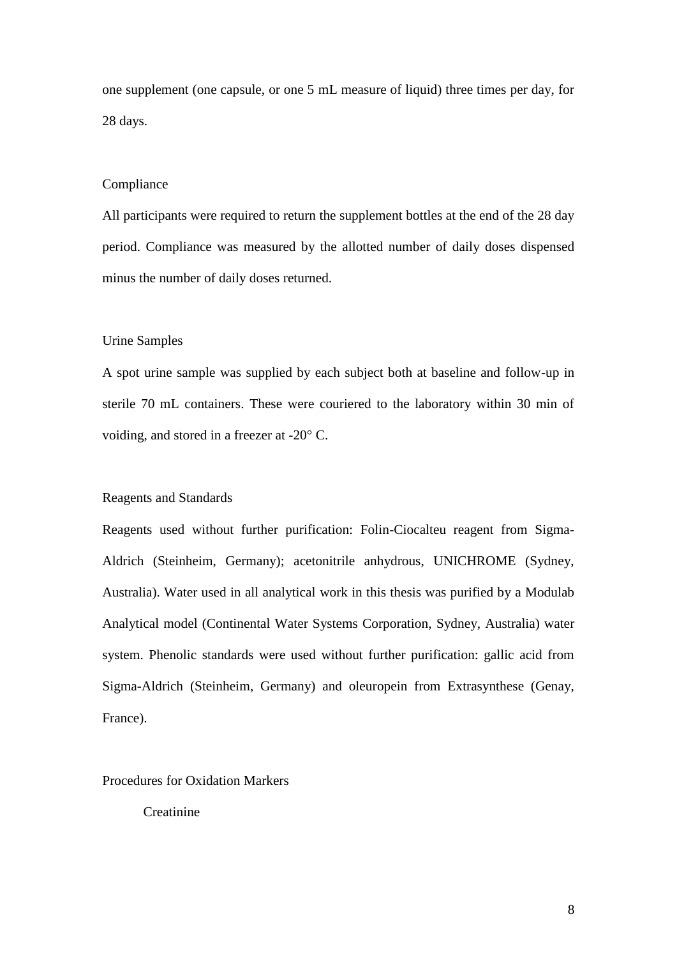one supplement (one capsule, or one 5 mL measure of liquid) three times per day, for 28 days.

#### Compliance

All participants were required to return the supplement bottles at the end of the 28 day period. Compliance was measured by the allotted number of daily doses dispensed minus the number of daily doses returned.

#### Urine Samples

A spot urine sample was supplied by each subject both at baseline and follow-up in sterile 70 mL containers. These were couriered to the laboratory within 30 min of voiding, and stored in a freezer at -20° C.

#### Reagents and Standards

Reagents used without further purification: Folin-Ciocalteu reagent from Sigma-Aldrich (Steinheim, Germany); acetonitrile anhydrous, UNICHROME (Sydney, Australia). Water used in all analytical work in this thesis was purified by a Modulab Analytical model (Continental Water Systems Corporation, Sydney, Australia) water system. Phenolic standards were used without further purification: gallic acid from Sigma-Aldrich (Steinheim, Germany) and oleuropein from Extrasynthese (Genay, France).

Procedures for Oxidation Markers

**Creatinine**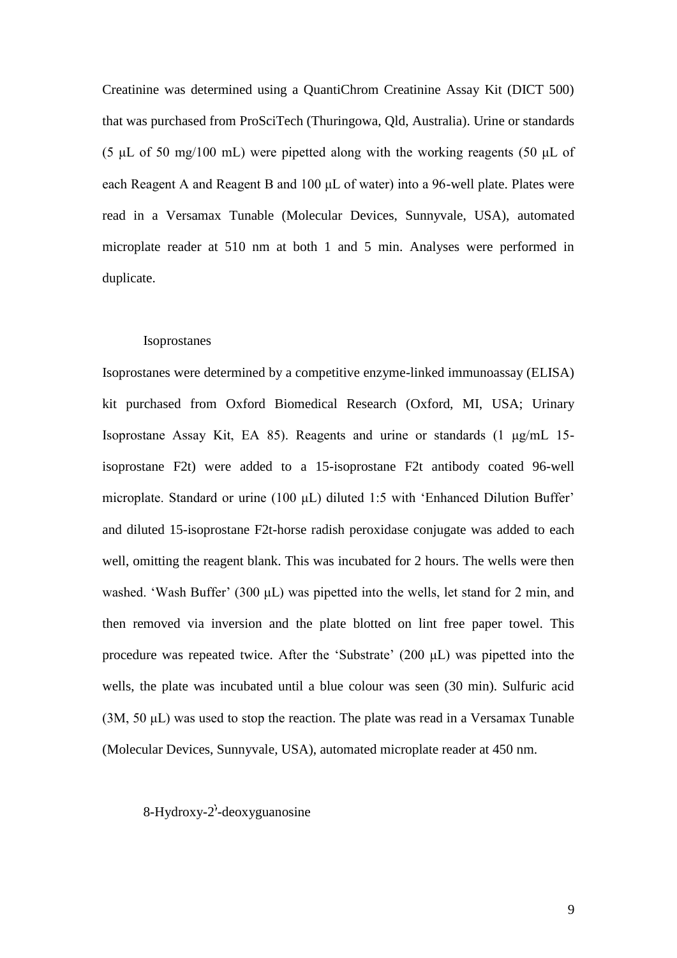Creatinine was determined using a QuantiChrom Creatinine Assay Kit (DICT 500) that was purchased from ProSciTech (Thuringowa, Qld, Australia). Urine or standards (5  $\mu$ L of 50 mg/100 mL) were pipetted along with the working reagents (50  $\mu$ L of each Reagent A and Reagent B and 100 μL of water) into a 96-well plate. Plates were read in a Versamax Tunable (Molecular Devices, Sunnyvale, USA), automated microplate reader at 510 nm at both 1 and 5 min. Analyses were performed in duplicate.

#### Isoprostanes

Isoprostanes were determined by a competitive enzyme-linked immunoassay (ELISA) kit purchased from Oxford Biomedical Research (Oxford, MI, USA; Urinary Isoprostane Assay Kit, EA 85). Reagents and urine or standards (1 μg/mL 15 isoprostane F2t) were added to a 15-isoprostane F2t antibody coated 96-well microplate. Standard or urine (100 μL) diluted 1:5 with 'Enhanced Dilution Buffer' and diluted 15-isoprostane F2t-horse radish peroxidase conjugate was added to each well, omitting the reagent blank. This was incubated for 2 hours. The wells were then washed. 'Wash Buffer' (300 μL) was pipetted into the wells, let stand for 2 min, and then removed via inversion and the plate blotted on lint free paper towel. This procedure was repeated twice. After the 'Substrate' (200 μL) was pipetted into the wells, the plate was incubated until a blue colour was seen (30 min). Sulfuric acid (3M, 50 μL) was used to stop the reaction. The plate was read in a Versamax Tunable (Molecular Devices, Sunnyvale, USA), automated microplate reader at 450 nm.

## $8-Hydroxy-2'-deoxyguanosine$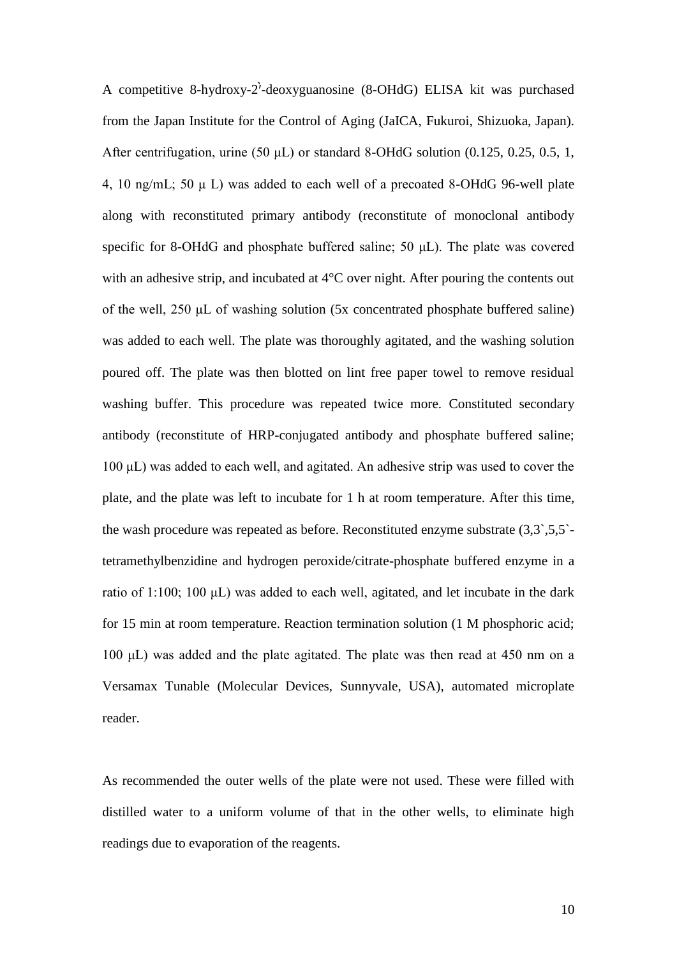A competitive 8-hydroxy-2'-deoxyguanosine  $(8\text{-}OHdG)$  ELISA kit was purchased from the Japan Institute for the Control of Aging (JaICA, Fukuroi, Shizuoka, Japan). After centrifugation, urine (50  $\mu$ L) or standard 8-OHdG solution (0.125, 0.25, 0.5, 1, 4, 10 ng/mL; 50 μ L) was added to each well of a precoated 8-OHdG 96-well plate along with reconstituted primary antibody (reconstitute of monoclonal antibody specific for 8-OHdG and phosphate buffered saline; 50 μL). The plate was covered with an adhesive strip, and incubated at 4<sup>o</sup>C over night. After pouring the contents out of the well, 250 μL of washing solution (5x concentrated phosphate buffered saline) was added to each well. The plate was thoroughly agitated, and the washing solution poured off. The plate was then blotted on lint free paper towel to remove residual washing buffer. This procedure was repeated twice more. Constituted secondary antibody (reconstitute of HRP-conjugated antibody and phosphate buffered saline; 100 μL) was added to each well, and agitated. An adhesive strip was used to cover the plate, and the plate was left to incubate for 1 h at room temperature. After this time, the wash procedure was repeated as before. Reconstituted enzyme substrate (3,3`,5,5` tetramethylbenzidine and hydrogen peroxide/citrate-phosphate buffered enzyme in a ratio of 1:100; 100 μL) was added to each well, agitated, and let incubate in the dark for 15 min at room temperature. Reaction termination solution (1 M phosphoric acid; 100 μL) was added and the plate agitated. The plate was then read at 450 nm on a Versamax Tunable (Molecular Devices, Sunnyvale, USA), automated microplate reader.

As recommended the outer wells of the plate were not used. These were filled with distilled water to a uniform volume of that in the other wells, to eliminate high readings due to evaporation of the reagents.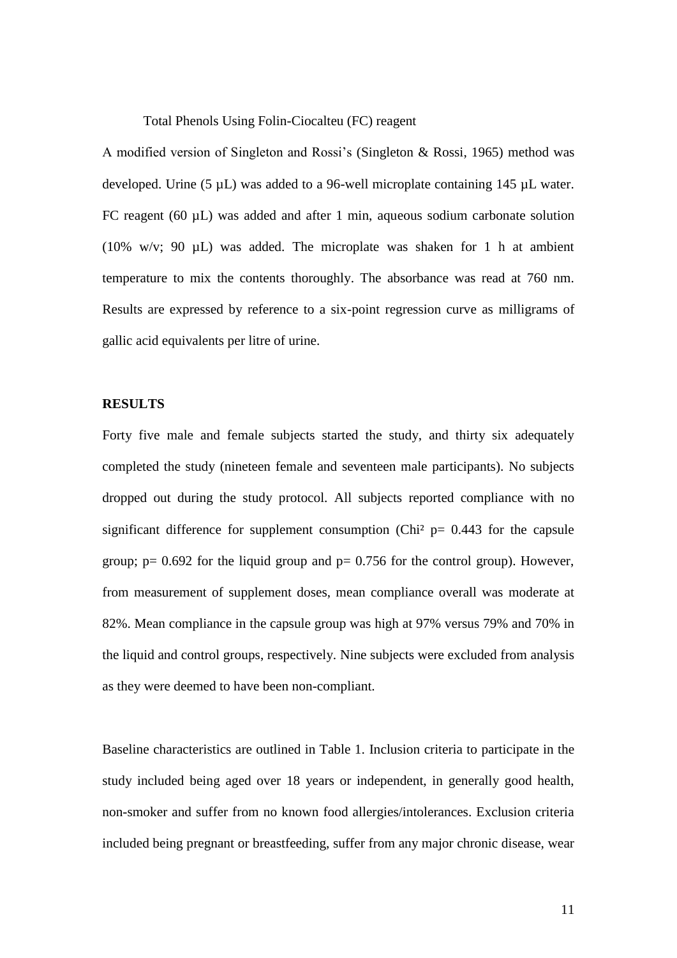Total Phenols Using Folin-Ciocalteu (FC) reagent

A modified version of Singleton and Rossi's (Singleton & Rossi, 1965) method was developed. Urine (5 µL) was added to a 96-well microplate containing 145 µL water. FC reagent (60 µL) was added and after 1 min, aqueous sodium carbonate solution (10% w/v; 90 µL) was added. The microplate was shaken for 1 h at ambient temperature to mix the contents thoroughly. The absorbance was read at 760 nm. Results are expressed by reference to a six-point regression curve as milligrams of gallic acid equivalents per litre of urine.

## **RESULTS**

Forty five male and female subjects started the study, and thirty six adequately completed the study (nineteen female and seventeen male participants). No subjects dropped out during the study protocol. All subjects reported compliance with no significant difference for supplement consumption (Chi<sup>2</sup>  $p= 0.443$  for the capsule group;  $p= 0.692$  for the liquid group and  $p= 0.756$  for the control group). However, from measurement of supplement doses, mean compliance overall was moderate at 82%. Mean compliance in the capsule group was high at 97% versus 79% and 70% in the liquid and control groups, respectively. Nine subjects were excluded from analysis as they were deemed to have been non-compliant.

Baseline characteristics are outlined in Table 1. Inclusion criteria to participate in the study included being aged over 18 years or independent, in generally good health, non-smoker and suffer from no known food allergies/intolerances. Exclusion criteria included being pregnant or breastfeeding, suffer from any major chronic disease, wear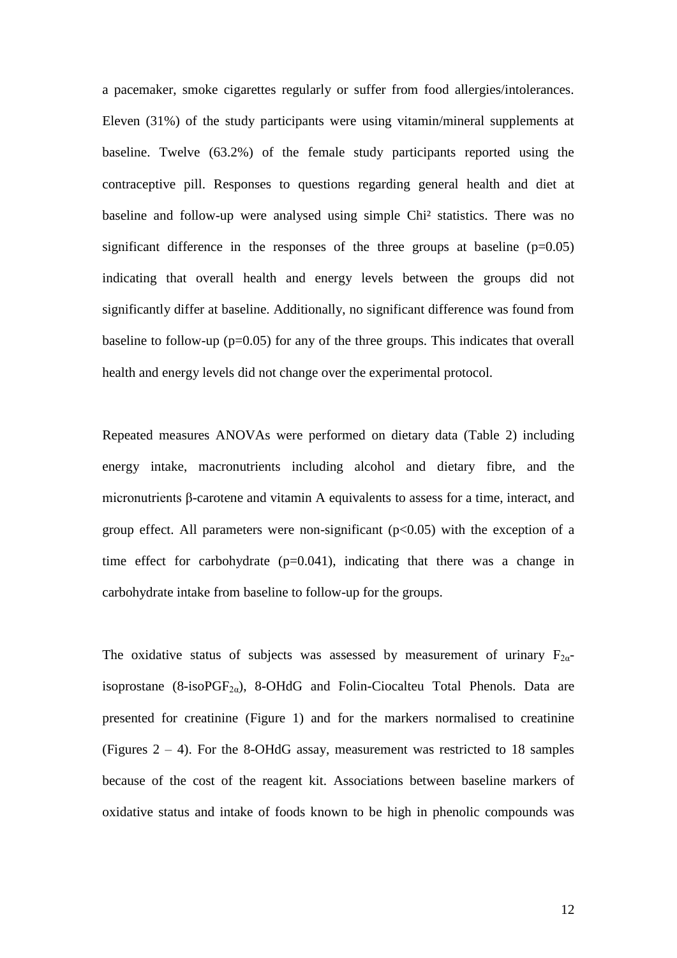a pacemaker, smoke cigarettes regularly or suffer from food allergies/intolerances. Eleven (31%) of the study participants were using vitamin/mineral supplements at baseline. Twelve (63.2%) of the female study participants reported using the contraceptive pill. Responses to questions regarding general health and diet at baseline and follow-up were analysed using simple Chi² statistics. There was no significant difference in the responses of the three groups at baseline  $(p=0.05)$ indicating that overall health and energy levels between the groups did not significantly differ at baseline. Additionally, no significant difference was found from baseline to follow-up (p=0.05) for any of the three groups. This indicates that overall health and energy levels did not change over the experimental protocol.

Repeated measures ANOVAs were performed on dietary data (Table 2) including energy intake, macronutrients including alcohol and dietary fibre, and the micronutrients β-carotene and vitamin A equivalents to assess for a time, interact, and group effect. All parameters were non-significant  $(p<0.05)$  with the exception of a time effect for carbohydrate  $(p=0.041)$ , indicating that there was a change in carbohydrate intake from baseline to follow-up for the groups.

The oxidative status of subjects was assessed by measurement of urinary  $F_{2\alpha}$ isoprostane (8-iso $PGF_{2\alpha}$ ), 8-OHdG and Folin-Ciocalteu Total Phenols. Data are presented for creatinine (Figure 1) and for the markers normalised to creatinine (Figures  $2 - 4$ ). For the 8-OHdG assay, measurement was restricted to 18 samples because of the cost of the reagent kit. Associations between baseline markers of oxidative status and intake of foods known to be high in phenolic compounds was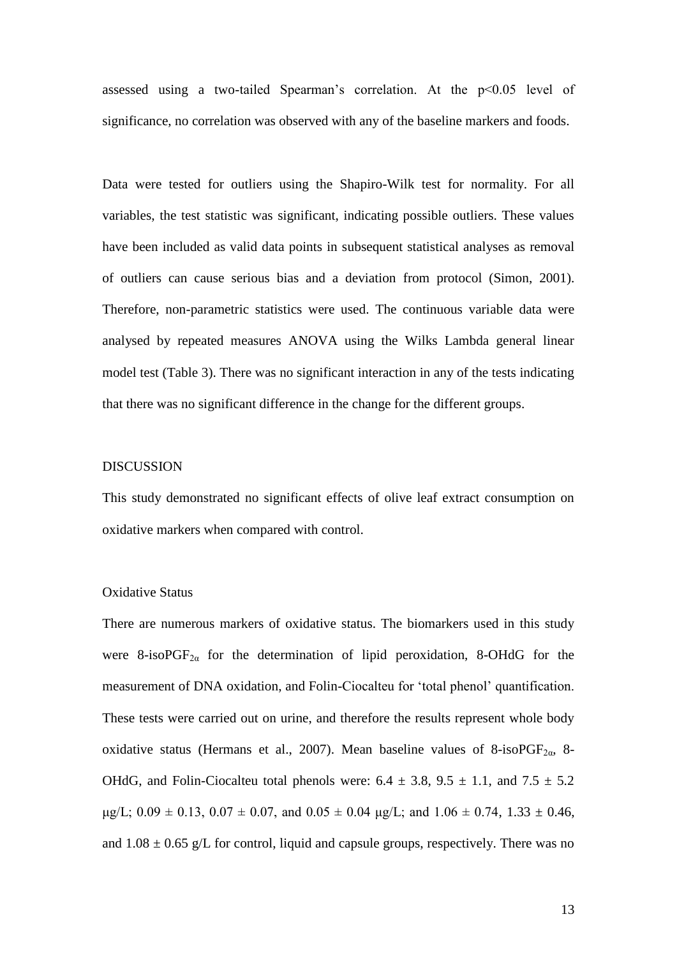assessed using a two-tailed Spearman's correlation. At the  $p<0.05$  level of significance, no correlation was observed with any of the baseline markers and foods.

Data were tested for outliers using the Shapiro-Wilk test for normality. For all variables, the test statistic was significant, indicating possible outliers. These values have been included as valid data points in subsequent statistical analyses as removal of outliers can cause serious bias and a deviation from protocol (Simon, 2001). Therefore, non-parametric statistics were used. The continuous variable data were analysed by repeated measures ANOVA using the Wilks Lambda general linear model test (Table 3). There was no significant interaction in any of the tests indicating that there was no significant difference in the change for the different groups.

#### DISCUSSION

This study demonstrated no significant effects of olive leaf extract consumption on oxidative markers when compared with control.

## Oxidative Status

There are numerous markers of oxidative status. The biomarkers used in this study were 8-isoPGF<sub>2 $\alpha$ </sub> for the determination of lipid peroxidation, 8-OHdG for the measurement of DNA oxidation, and Folin-Ciocalteu for 'total phenol' quantification. These tests were carried out on urine, and therefore the results represent whole body oxidative status (Hermans et al., 2007). Mean baseline values of 8-isoPGF<sub>2 $\alpha$ </sub>, 8-OHdG, and Folin-Ciocalteu total phenols were:  $6.4 \pm 3.8$ ,  $9.5 \pm 1.1$ , and  $7.5 \pm 5.2$  $\mu$ g/L; 0.09  $\pm$  0.13, 0.07  $\pm$  0.07, and 0.05  $\pm$  0.04  $\mu$ g/L; and 1.06  $\pm$  0.74, 1.33  $\pm$  0.46, and  $1.08 \pm 0.65$  g/L for control, liquid and capsule groups, respectively. There was no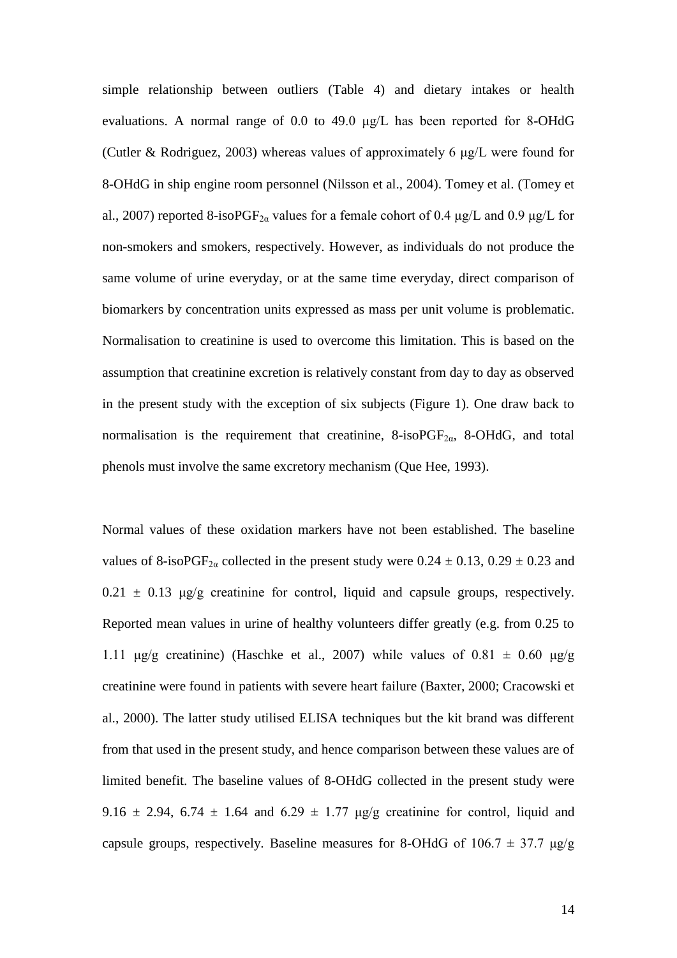simple relationship between outliers (Table 4) and dietary intakes or health evaluations. A normal range of 0.0 to 49.0 μg/L has been reported for 8-OHdG (Cutler & Rodriguez, 2003) whereas values of approximately 6 μg/L were found for 8-OHdG in ship engine room personnel (Nilsson et al., 2004). Tomey et al. (Tomey et al., 2007) reported 8-isoPGF<sub>2a</sub> values for a female cohort of 0.4  $\mu$ g/L and 0.9  $\mu$ g/L for non-smokers and smokers, respectively. However, as individuals do not produce the same volume of urine everyday, or at the same time everyday, direct comparison of biomarkers by concentration units expressed as mass per unit volume is problematic. Normalisation to creatinine is used to overcome this limitation. This is based on the assumption that creatinine excretion is relatively constant from day to day as observed in the present study with the exception of six subjects (Figure 1). One draw back to normalisation is the requirement that creatinine,  $8\text{-}isoPGF_{2\alpha}$ ,  $8\text{-}OHdG$ , and total phenols must involve the same excretory mechanism (Que Hee, 1993).

Normal values of these oxidation markers have not been established. The baseline values of 8-isoPGF<sub>2a</sub> collected in the present study were  $0.24 \pm 0.13$ ,  $0.29 \pm 0.23$  and  $0.21 \pm 0.13$  μg/g creatinine for control, liquid and capsule groups, respectively. Reported mean values in urine of healthy volunteers differ greatly (e.g. from 0.25 to 1.11 μg/g creatinine) (Haschke et al., 2007) while values of 0.81  $\pm$  0.60 μg/g creatinine were found in patients with severe heart failure (Baxter, 2000; Cracowski et al., 2000). The latter study utilised ELISA techniques but the kit brand was different from that used in the present study, and hence comparison between these values are of limited benefit. The baseline values of 8-OHdG collected in the present study were 9.16  $\pm$  2.94, 6.74  $\pm$  1.64 and 6.29  $\pm$  1.77 µg/g creatinine for control, liquid and capsule groups, respectively. Baseline measures for 8-OHdG of  $106.7 \pm 37.7$   $\mu$ g/g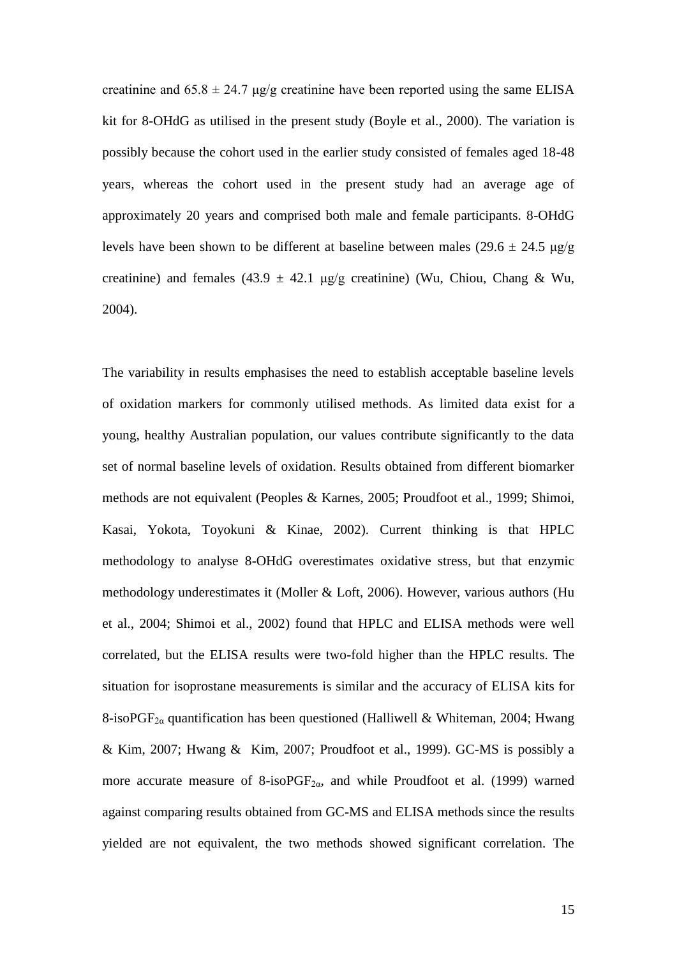creatinine and  $65.8 \pm 24.7$  μg/g creatinine have been reported using the same ELISA kit for 8-OHdG as utilised in the present study (Boyle et al., 2000). The variation is possibly because the cohort used in the earlier study consisted of females aged 18-48 years, whereas the cohort used in the present study had an average age of approximately 20 years and comprised both male and female participants. 8-OHdG levels have been shown to be different at baseline between males (29.6  $\pm$  24.5 µg/g creatinine) and females (43.9  $\pm$  42.1 μg/g creatinine) (Wu, Chiou, Chang & Wu, 2004).

The variability in results emphasises the need to establish acceptable baseline levels of oxidation markers for commonly utilised methods. As limited data exist for a young, healthy Australian population, our values contribute significantly to the data set of normal baseline levels of oxidation. Results obtained from different biomarker methods are not equivalent (Peoples & Karnes, 2005; Proudfoot et al., 1999; Shimoi, Kasai, Yokota, Toyokuni & Kinae, 2002). Current thinking is that HPLC methodology to analyse 8-OHdG overestimates oxidative stress, but that enzymic methodology underestimates it (Moller & Loft, 2006). However, various authors (Hu et al., 2004; Shimoi et al., 2002) found that HPLC and ELISA methods were well correlated, but the ELISA results were two-fold higher than the HPLC results. The situation for isoprostane measurements is similar and the accuracy of ELISA kits for 8-isoPGF<sub>2a</sub> quantification has been questioned (Halliwell & Whiteman, 2004; Hwang & Kim, 2007; Hwang & Kim, 2007; Proudfoot et al., 1999). GC-MS is possibly a more accurate measure of  $8\text{-}isoPGF_{2\alpha}$ , and while Proudfoot et al. (1999) warned against comparing results obtained from GC-MS and ELISA methods since the results yielded are not equivalent, the two methods showed significant correlation. The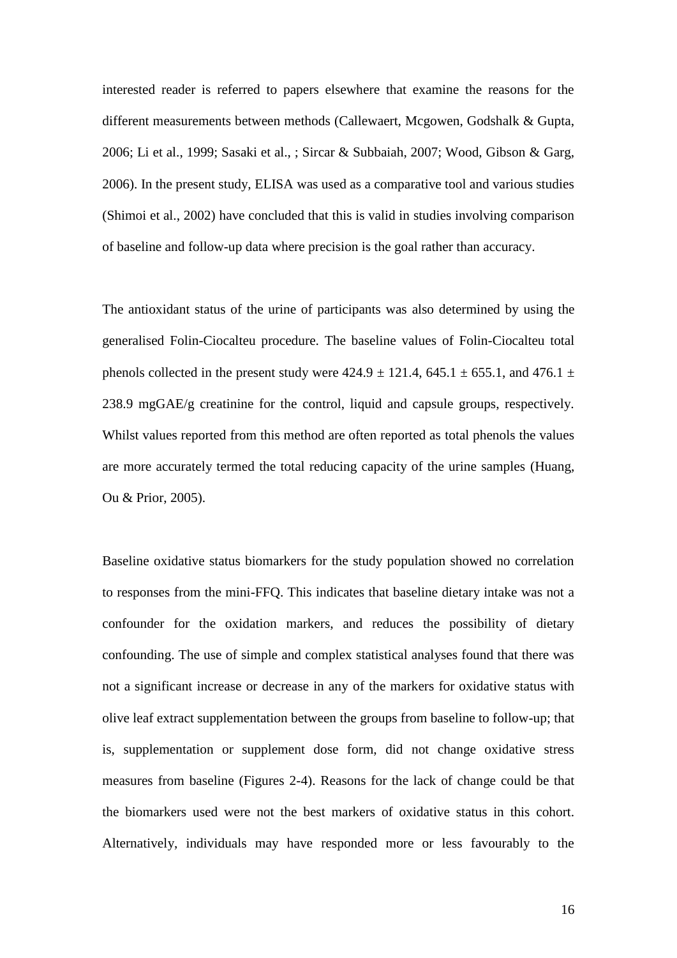interested reader is referred to papers elsewhere that examine the reasons for the different measurements between methods (Callewaert, Mcgowen, Godshalk & Gupta, 2006; Li et al., 1999; Sasaki et al., ; Sircar & Subbaiah, 2007; Wood, Gibson & Garg, 2006). In the present study, ELISA was used as a comparative tool and various studies (Shimoi et al., 2002) have concluded that this is valid in studies involving comparison of baseline and follow-up data where precision is the goal rather than accuracy.

The antioxidant status of the urine of participants was also determined by using the generalised Folin-Ciocalteu procedure. The baseline values of Folin-Ciocalteu total phenols collected in the present study were  $424.9 \pm 121.4$ ,  $645.1 \pm 655.1$ , and  $476.1 \pm 121.4$ 238.9 mgGAE/g creatinine for the control, liquid and capsule groups, respectively. Whilst values reported from this method are often reported as total phenols the values are more accurately termed the total reducing capacity of the urine samples (Huang, Ou & Prior, 2005).

Baseline oxidative status biomarkers for the study population showed no correlation to responses from the mini-FFQ. This indicates that baseline dietary intake was not a confounder for the oxidation markers, and reduces the possibility of dietary confounding. The use of simple and complex statistical analyses found that there was not a significant increase or decrease in any of the markers for oxidative status with olive leaf extract supplementation between the groups from baseline to follow-up; that is, supplementation or supplement dose form, did not change oxidative stress measures from baseline (Figures 2-4). Reasons for the lack of change could be that the biomarkers used were not the best markers of oxidative status in this cohort. Alternatively, individuals may have responded more or less favourably to the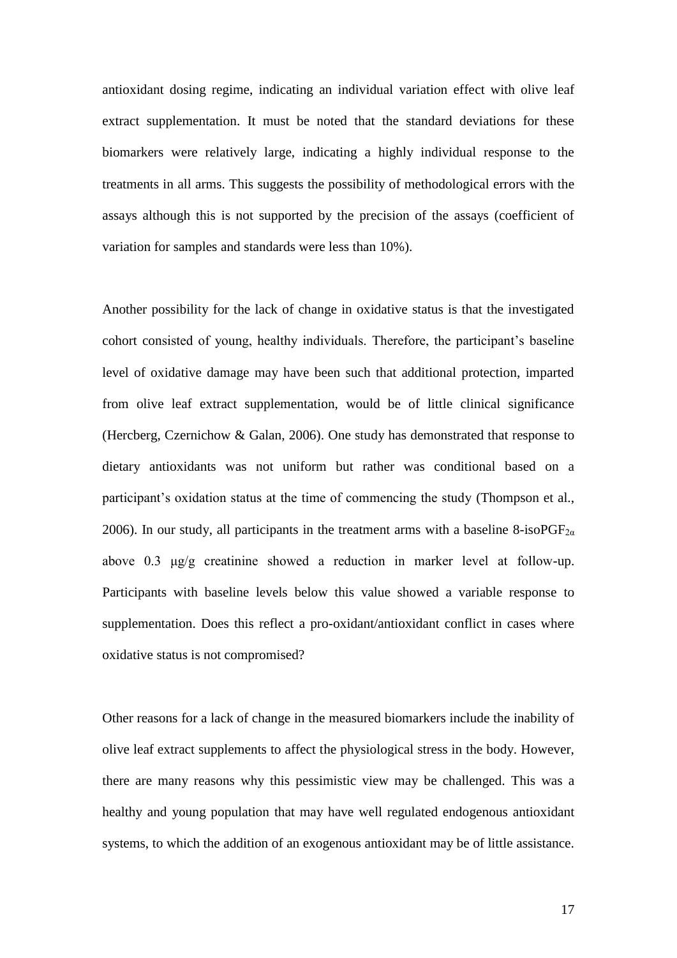antioxidant dosing regime, indicating an individual variation effect with olive leaf extract supplementation. It must be noted that the standard deviations for these biomarkers were relatively large, indicating a highly individual response to the treatments in all arms. This suggests the possibility of methodological errors with the assays although this is not supported by the precision of the assays (coefficient of variation for samples and standards were less than 10%).

Another possibility for the lack of change in oxidative status is that the investigated cohort consisted of young, healthy individuals. Therefore, the participant's baseline level of oxidative damage may have been such that additional protection, imparted from olive leaf extract supplementation, would be of little clinical significance (Hercberg, Czernichow & Galan, 2006). One study has demonstrated that response to dietary antioxidants was not uniform but rather was conditional based on a participant's oxidation status at the time of commencing the study (Thompson et al., 2006). In our study, all participants in the treatment arms with a baseline 8-isoPGF<sub>2*a*</sub> above 0.3 μg/g creatinine showed a reduction in marker level at follow-up. Participants with baseline levels below this value showed a variable response to supplementation. Does this reflect a pro-oxidant/antioxidant conflict in cases where oxidative status is not compromised?

Other reasons for a lack of change in the measured biomarkers include the inability of olive leaf extract supplements to affect the physiological stress in the body. However, there are many reasons why this pessimistic view may be challenged. This was a healthy and young population that may have well regulated endogenous antioxidant systems, to which the addition of an exogenous antioxidant may be of little assistance.

17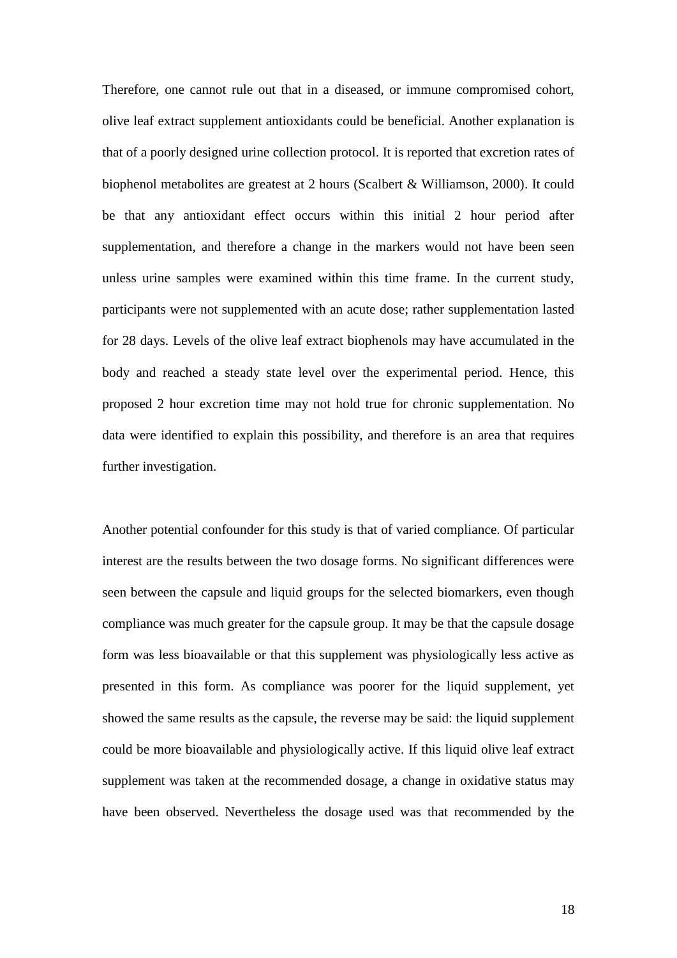Therefore, one cannot rule out that in a diseased, or immune compromised cohort, olive leaf extract supplement antioxidants could be beneficial. Another explanation is that of a poorly designed urine collection protocol. It is reported that excretion rates of biophenol metabolites are greatest at 2 hours (Scalbert & Williamson, 2000). It could be that any antioxidant effect occurs within this initial 2 hour period after supplementation, and therefore a change in the markers would not have been seen unless urine samples were examined within this time frame. In the current study, participants were not supplemented with an acute dose; rather supplementation lasted for 28 days. Levels of the olive leaf extract biophenols may have accumulated in the body and reached a steady state level over the experimental period. Hence, this proposed 2 hour excretion time may not hold true for chronic supplementation. No data were identified to explain this possibility, and therefore is an area that requires further investigation.

Another potential confounder for this study is that of varied compliance. Of particular interest are the results between the two dosage forms. No significant differences were seen between the capsule and liquid groups for the selected biomarkers, even though compliance was much greater for the capsule group. It may be that the capsule dosage form was less bioavailable or that this supplement was physiologically less active as presented in this form. As compliance was poorer for the liquid supplement, yet showed the same results as the capsule, the reverse may be said: the liquid supplement could be more bioavailable and physiologically active. If this liquid olive leaf extract supplement was taken at the recommended dosage, a change in oxidative status may have been observed. Nevertheless the dosage used was that recommended by the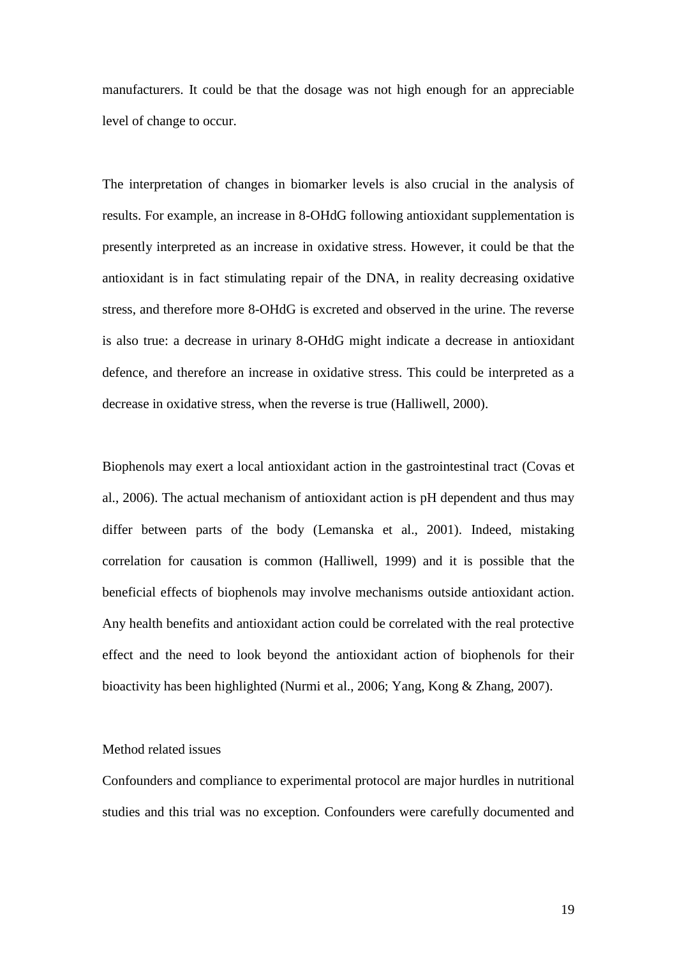manufacturers. It could be that the dosage was not high enough for an appreciable level of change to occur.

The interpretation of changes in biomarker levels is also crucial in the analysis of results. For example, an increase in 8-OHdG following antioxidant supplementation is presently interpreted as an increase in oxidative stress. However, it could be that the antioxidant is in fact stimulating repair of the DNA, in reality decreasing oxidative stress, and therefore more 8-OHdG is excreted and observed in the urine. The reverse is also true: a decrease in urinary 8-OHdG might indicate a decrease in antioxidant defence, and therefore an increase in oxidative stress. This could be interpreted as a decrease in oxidative stress, when the reverse is true (Halliwell, 2000).

Biophenols may exert a local antioxidant action in the gastrointestinal tract (Covas et al., 2006). The actual mechanism of antioxidant action is pH dependent and thus may differ between parts of the body (Lemanska et al., 2001). Indeed, mistaking correlation for causation is common (Halliwell, 1999) and it is possible that the beneficial effects of biophenols may involve mechanisms outside antioxidant action. Any health benefits and antioxidant action could be correlated with the real protective effect and the need to look beyond the antioxidant action of biophenols for their bioactivity has been highlighted (Nurmi et al., 2006; Yang, Kong & Zhang, 2007).

#### Method related issues

Confounders and compliance to experimental protocol are major hurdles in nutritional studies and this trial was no exception. Confounders were carefully documented and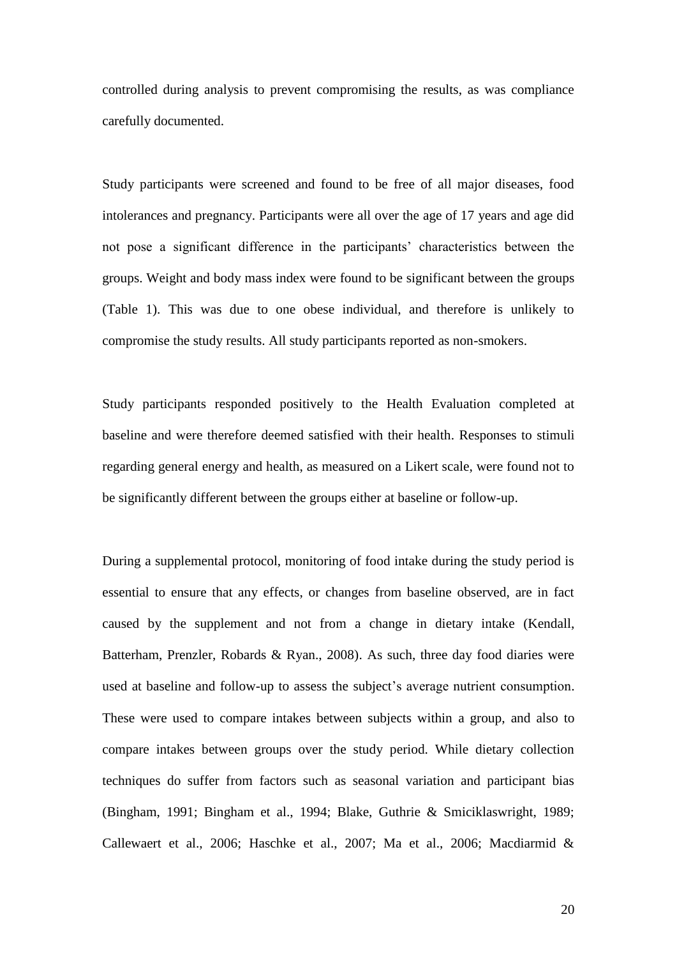controlled during analysis to prevent compromising the results, as was compliance carefully documented.

Study participants were screened and found to be free of all major diseases, food intolerances and pregnancy. Participants were all over the age of 17 years and age did not pose a significant difference in the participants' characteristics between the groups. Weight and body mass index were found to be significant between the groups (Table 1). This was due to one obese individual, and therefore is unlikely to compromise the study results. All study participants reported as non-smokers.

Study participants responded positively to the Health Evaluation completed at baseline and were therefore deemed satisfied with their health. Responses to stimuli regarding general energy and health, as measured on a Likert scale, were found not to be significantly different between the groups either at baseline or follow-up.

During a supplemental protocol, monitoring of food intake during the study period is essential to ensure that any effects, or changes from baseline observed, are in fact caused by the supplement and not from a change in dietary intake (Kendall, Batterham, Prenzler, Robards & Ryan., 2008). As such, three day food diaries were used at baseline and follow-up to assess the subject's average nutrient consumption. These were used to compare intakes between subjects within a group, and also to compare intakes between groups over the study period. While dietary collection techniques do suffer from factors such as seasonal variation and participant bias (Bingham, 1991; Bingham et al., 1994; Blake, Guthrie & Smiciklaswright, 1989; Callewaert et al., 2006; Haschke et al., 2007; Ma et al., 2006; Macdiarmid &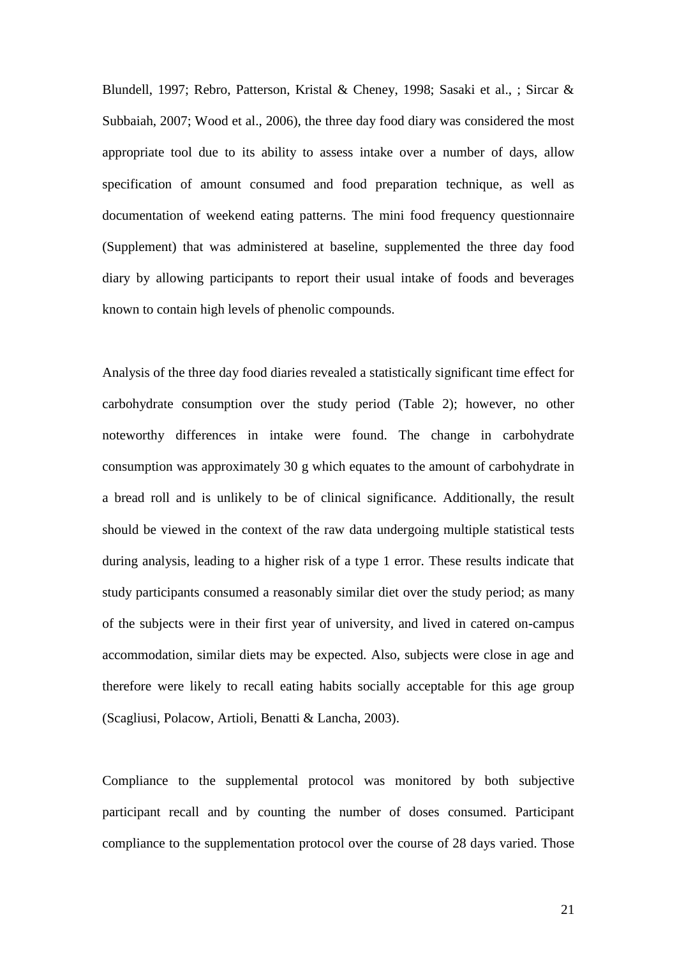Blundell, 1997; Rebro, Patterson, Kristal & Cheney, 1998; Sasaki et al., ; Sircar & Subbaiah, 2007; Wood et al., 2006), the three day food diary was considered the most appropriate tool due to its ability to assess intake over a number of days, allow specification of amount consumed and food preparation technique, as well as documentation of weekend eating patterns. The mini food frequency questionnaire (Supplement) that was administered at baseline, supplemented the three day food diary by allowing participants to report their usual intake of foods and beverages known to contain high levels of phenolic compounds.

Analysis of the three day food diaries revealed a statistically significant time effect for carbohydrate consumption over the study period (Table 2); however, no other noteworthy differences in intake were found. The change in carbohydrate consumption was approximately 30 g which equates to the amount of carbohydrate in a bread roll and is unlikely to be of clinical significance. Additionally, the result should be viewed in the context of the raw data undergoing multiple statistical tests during analysis, leading to a higher risk of a type 1 error. These results indicate that study participants consumed a reasonably similar diet over the study period; as many of the subjects were in their first year of university, and lived in catered on-campus accommodation, similar diets may be expected. Also, subjects were close in age and therefore were likely to recall eating habits socially acceptable for this age group (Scagliusi, Polacow, Artioli, Benatti & Lancha, 2003).

Compliance to the supplemental protocol was monitored by both subjective participant recall and by counting the number of doses consumed. Participant compliance to the supplementation protocol over the course of 28 days varied. Those

21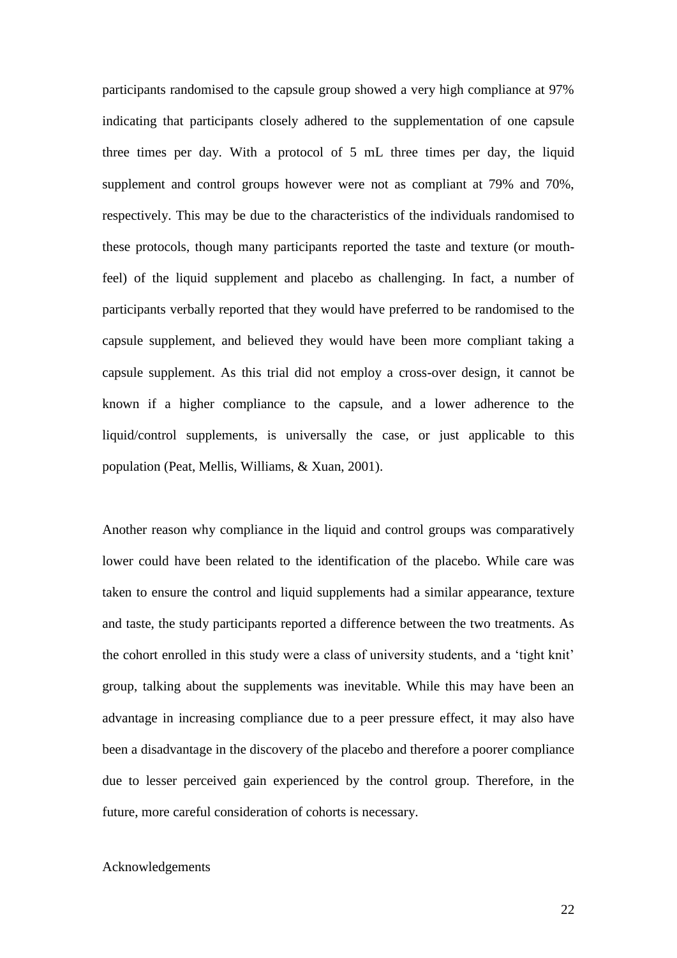participants randomised to the capsule group showed a very high compliance at 97% indicating that participants closely adhered to the supplementation of one capsule three times per day. With a protocol of 5 mL three times per day, the liquid supplement and control groups however were not as compliant at 79% and 70%, respectively. This may be due to the characteristics of the individuals randomised to these protocols, though many participants reported the taste and texture (or mouthfeel) of the liquid supplement and placebo as challenging. In fact, a number of participants verbally reported that they would have preferred to be randomised to the capsule supplement, and believed they would have been more compliant taking a capsule supplement. As this trial did not employ a cross-over design, it cannot be known if a higher compliance to the capsule, and a lower adherence to the liquid/control supplements, is universally the case, or just applicable to this population (Peat, Mellis, Williams, & Xuan, 2001).

Another reason why compliance in the liquid and control groups was comparatively lower could have been related to the identification of the placebo. While care was taken to ensure the control and liquid supplements had a similar appearance, texture and taste, the study participants reported a difference between the two treatments. As the cohort enrolled in this study were a class of university students, and a 'tight knit' group, talking about the supplements was inevitable. While this may have been an advantage in increasing compliance due to a peer pressure effect, it may also have been a disadvantage in the discovery of the placebo and therefore a poorer compliance due to lesser perceived gain experienced by the control group. Therefore, in the future, more careful consideration of cohorts is necessary.

#### Acknowledgements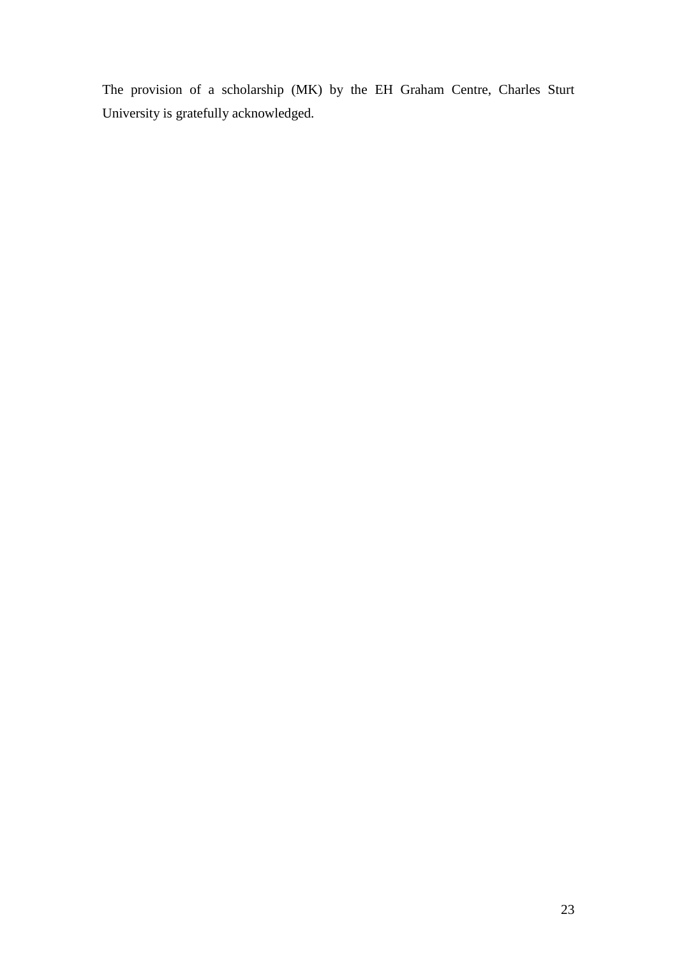The provision of a scholarship (MK) by the EH Graham Centre, Charles Sturt University is gratefully acknowledged.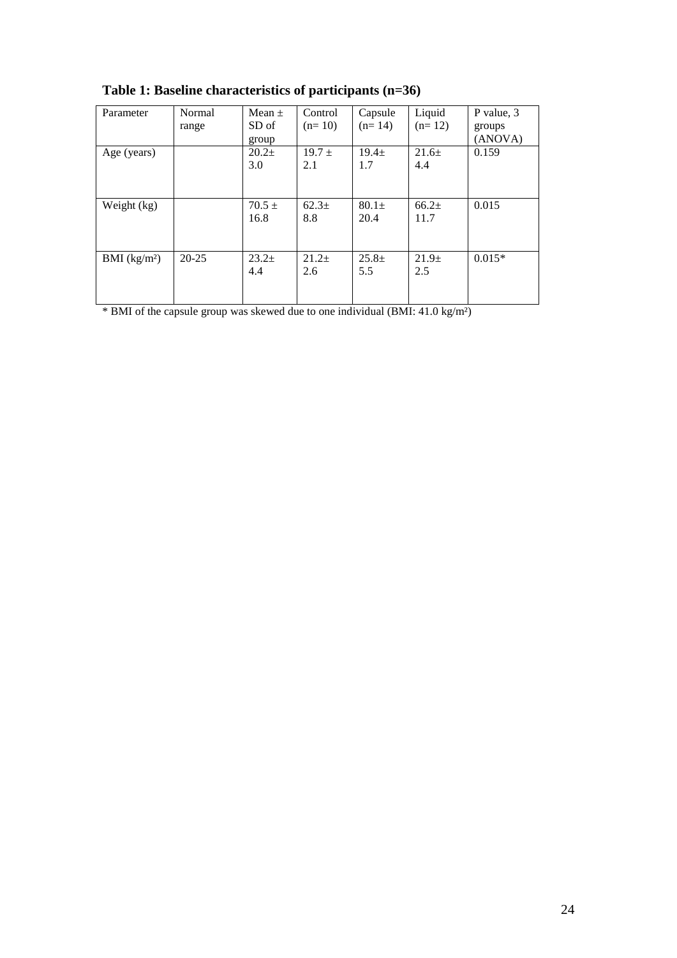| Parameter     | Normal<br>range | Mean $\pm$<br>SD of<br>group | Control<br>$(n=10)$      | Capsule<br>$(n=14)$ | Liquid<br>$(n=12)$       | P value, 3<br>groups<br>(ANOVA) |
|---------------|-----------------|------------------------------|--------------------------|---------------------|--------------------------|---------------------------------|
| Age (years)   |                 | $20.2+$<br>3.0               | $19.7 \pm$<br>2.1        | $19.4 \pm$<br>1.7   | 21.6±<br>4.4             | 0.159                           |
| Weight (kg)   |                 | $70.5 \pm$<br>16.8           | 62.3 <sub>±</sub><br>8.8 | $80.1\pm$<br>20.4   | $66.2+$<br>11.7          | 0.015                           |
| BMI $(kg/m2)$ | $20 - 25$       | $23.2+$<br>4.4               | $21.2\pm$<br>2.6         | $25.8+$<br>5.5      | 21.9 <sub>±</sub><br>2.5 | $0.015*$                        |

**Table 1: Baseline characteristics of participants (n=36)**

 $\frac{1}{\frac{1}{1000}}$  × BMI of the capsule group was skewed due to one individual (BMI: 41.0 kg/m<sup>2</sup>)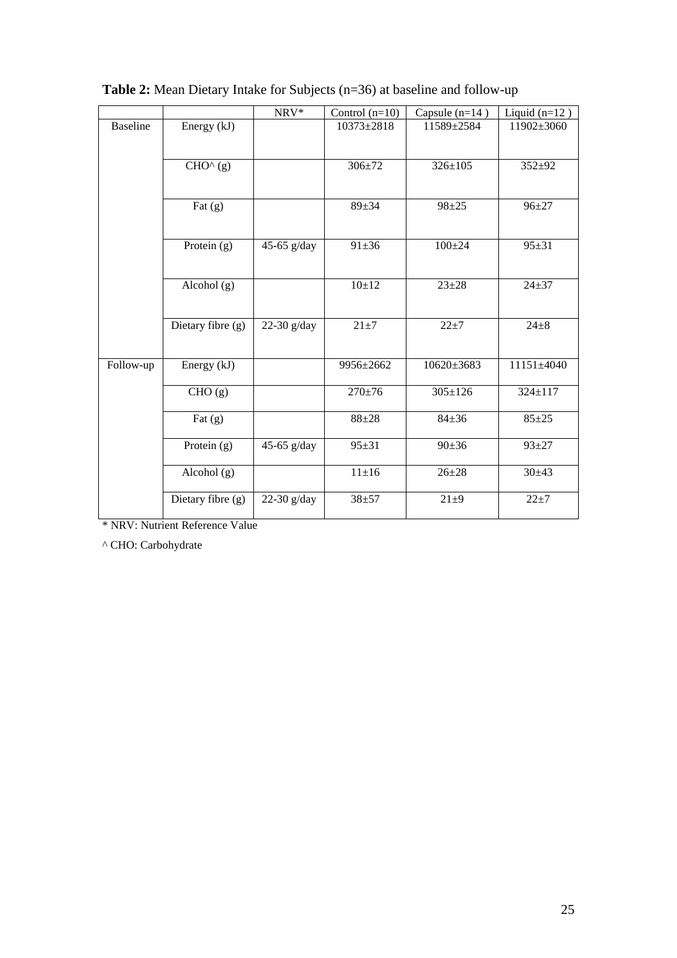|                 |                      | NRV*          | Control $(n=10)$ | Capsule $(n=14)$ | Liquid $(n=12)$ |
|-----------------|----------------------|---------------|------------------|------------------|-----------------|
| <b>Baseline</b> | Energy (kJ)          |               | $10373 \pm 2818$ | 11589±2584       | 11902±3060      |
|                 | $CHO^{\wedge}(g)$    |               | $306 \pm 72$     | $326 \pm 105$    | $352 + 92$      |
|                 | Fat $(g)$            |               | $89 + 34$        | $98 + 25$        | $96 + 27$       |
|                 | Protein (g)          | 45-65 $g/day$ | $91 \pm 36$      | $100 \pm 24$     | $95 + 31$       |
|                 | Alcohol $(g)$        |               | 10±12            | $23 + 28$        | $24 + 37$       |
|                 | Dietary fibre (g)    | 22-30 $g/day$ | $21\pm7$         | $22 + 7$         | $24 + 8$        |
| Follow-up       | Energy (kJ)          |               | 9956±2662        | $10620 \pm 3683$ | 11151±4040      |
|                 | $\overline{CHO}$ (g) |               | $270 \pm 76$     | $305 \pm 126$    | 324±117         |
|                 | Fat $(g)$            |               | $88 + 28$        | $84 + 36$        | $85 + 25$       |
|                 | Protein $(g)$        | 45-65 $g/day$ | $95 + 31$        | $90 \pm 36$      | $93 + 27$       |
|                 | Alcohol $(g)$        |               | $11 \pm 16$      | $26 + 28$        | $30+43$         |
|                 | Dietary fibre (g)    | 22-30 $g/day$ | $38 + 57$        | $21\pm9$         | $22 + 7$        |

**Table 2:** Mean Dietary Intake for Subjects (n=36) at baseline and follow-up

\* NRV: Nutrient Reference Value

^ CHO: Carbohydrate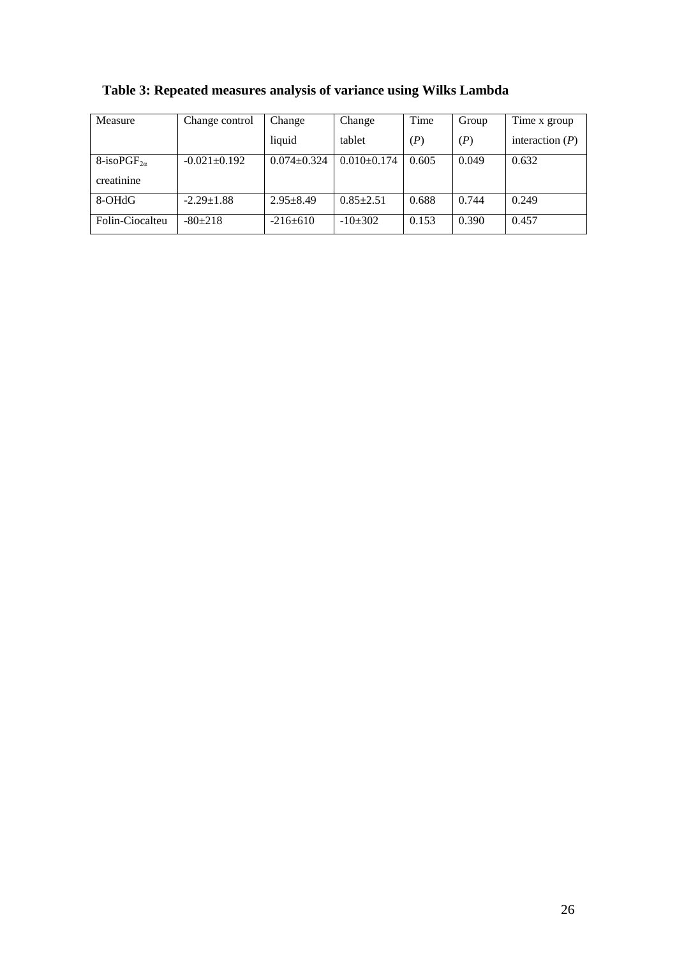| Measure                       | Change control     | Change            | Change        | Time  | Group | Time x group      |
|-------------------------------|--------------------|-------------------|---------------|-------|-------|-------------------|
|                               |                    | liquid            | tablet        | (P)   | (P)   | interaction $(P)$ |
| 8-isoPGF <sub>2<i>a</i></sub> | $-0.021 \pm 0.192$ | $0.074 \pm 0.324$ | $0.010+0.174$ | 0.605 | 0.049 | 0.632             |
| creatinine                    |                    |                   |               |       |       |                   |
| 8-OHdG                        | $-2.29 \pm 1.88$   | $2.95 + 8.49$     | $0.85 + 2.51$ | 0.688 | 0.744 | 0.249             |
| Folin-Ciocalteu               | $-80+218$          | $-216+610$        | $-10+302$     | 0.153 | 0.390 | 0.457             |

**Table 3: Repeated measures analysis of variance using Wilks Lambda**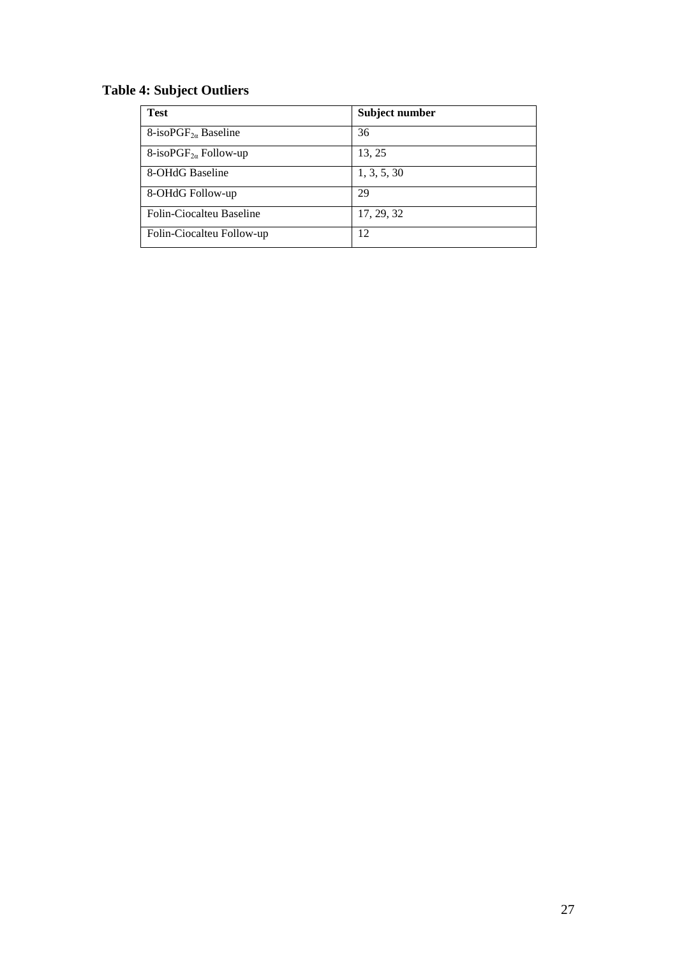# **Table 4: Subject Outliers**

| <b>Test</b>                      | Subject number |
|----------------------------------|----------------|
| 8-iso $PGF_{2\alpha}$ Baseline   | 36             |
| 8-isoPGF <sub>2a</sub> Follow-up | 13, 25         |
| 8-OHdG Baseline                  | 1, 3, 5, 30    |
| 8-OHdG Follow-up                 | 29             |
| Folin-Ciocalteu Baseline         | 17, 29, 32     |
| Folin-Ciocalteu Follow-up        | 12             |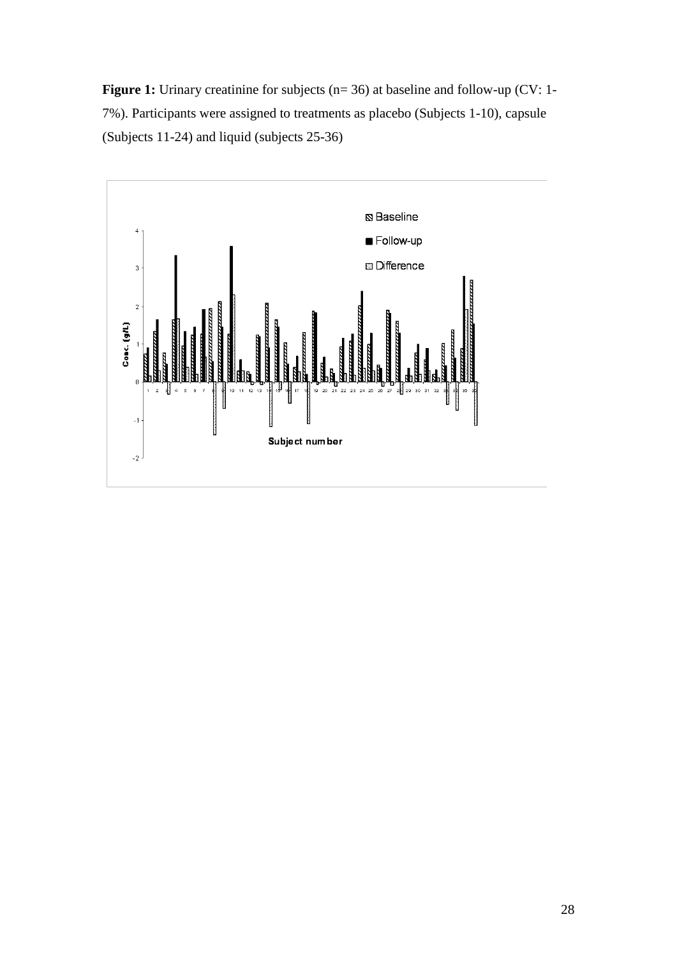**Figure 1:** Urinary creatinine for subjects (n= 36) at baseline and follow-up (CV: 1-7%). Participants were assigned to treatments as placebo (Subjects 1-10), capsule (Subjects 11-24) and liquid (subjects 25-36)

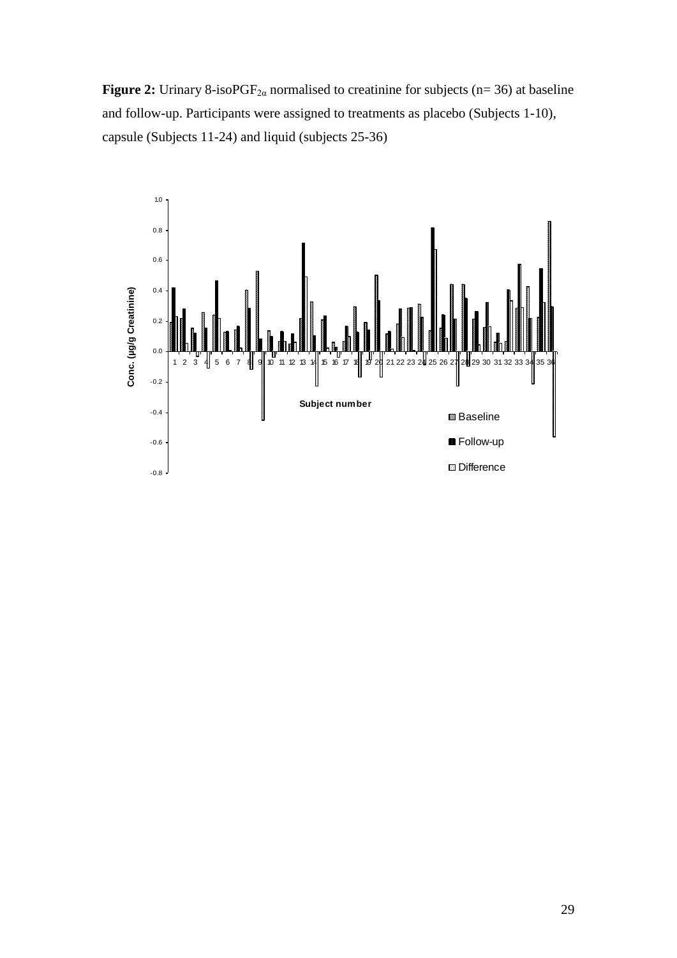**Figure 2:** Urinary 8-iso $PGF_{2\alpha}$  normalised to creatinine for subjects (n= 36) at baseline and follow-up. Participants were assigned to treatments as placebo (Subjects 1-10), capsule (Subjects 11-24) and liquid (subjects 25-36)

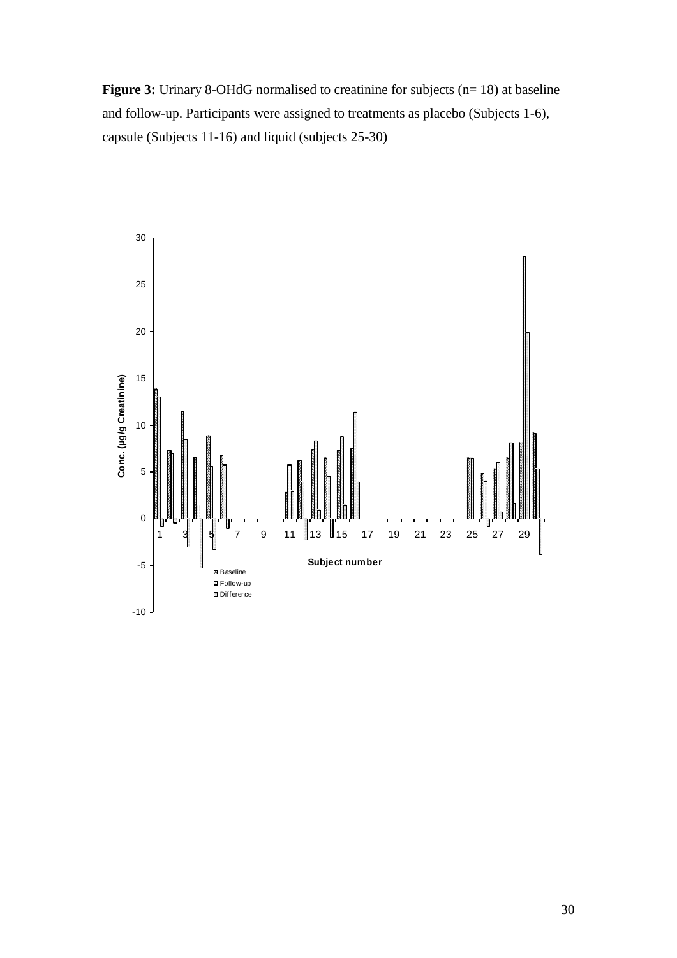**Figure 3:** Urinary 8-OHdG normalised to creatinine for subjects (n= 18) at baseline and follow-up. Participants were assigned to treatments as placebo (Subjects 1-6), capsule (Subjects 11-16) and liquid (subjects 25-30)

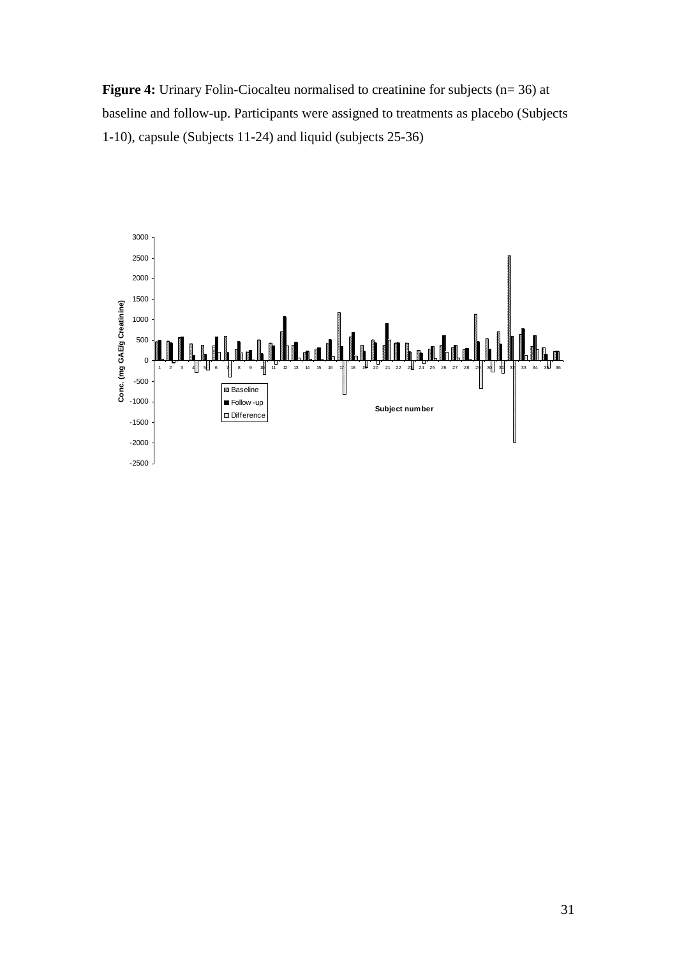**Figure 4:** Urinary Folin-Ciocalteu normalised to creatinine for subjects (n= 36) at baseline and follow-up. Participants were assigned to treatments as placebo (Subjects 1-10), capsule (Subjects 11-24) and liquid (subjects 25-36)

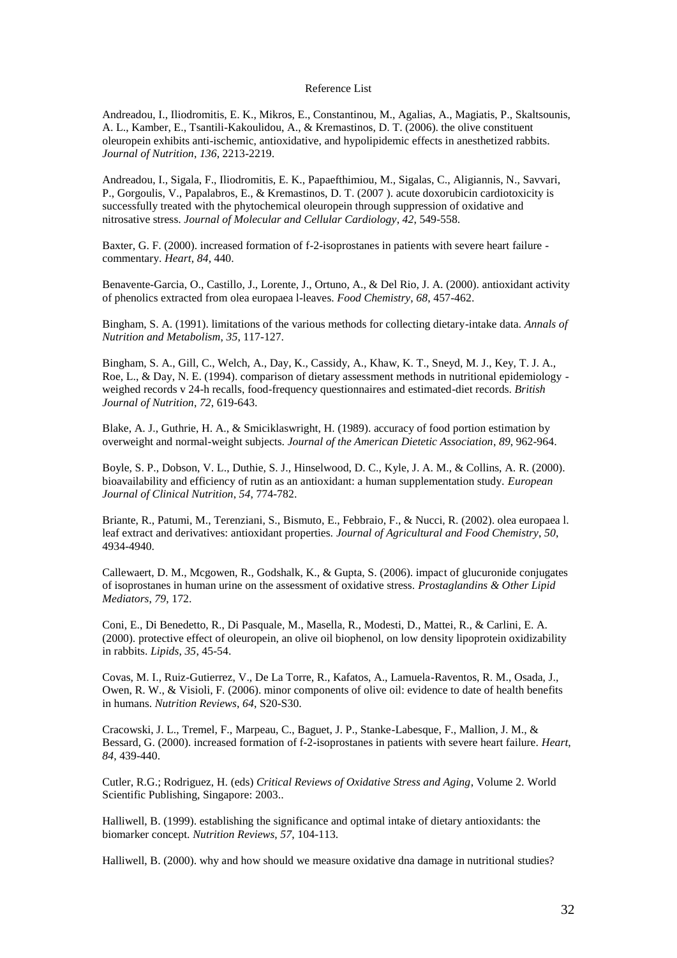#### Reference List

Andreadou, I., Iliodromitis, E. K., Mikros, E., Constantinou, M., Agalias, A., Magiatis, P., Skaltsounis, A. L., Kamber, E., Tsantili-Kakoulidou, A., & Kremastinos, D. T. (2006). the olive constituent oleuropein exhibits anti-ischemic, antioxidative, and hypolipidemic effects in anesthetized rabbits. *Journal of Nutrition*, *136*, 2213-2219.

Andreadou, I., Sigala, F., Iliodromitis, E. K., Papaefthimiou, M., Sigalas, C., Aligiannis, N., Savvari, P., Gorgoulis, V., Papalabros, E., & Kremastinos, D. T. (2007 ). acute doxorubicin cardiotoxicity is successfully treated with the phytochemical oleuropein through suppression of oxidative and nitrosative stress. *Journal of Molecular and Cellular Cardiology*, *42*, 549-558.

Baxter, G. F. (2000). increased formation of f-2-isoprostanes in patients with severe heart failure commentary. *Heart*, *84*, 440.

Benavente-Garcia, O., Castillo, J., Lorente, J., Ortuno, A., & Del Rio, J. A. (2000). antioxidant activity of phenolics extracted from olea europaea l-leaves. *Food Chemistry*, *68*, 457-462.

Bingham, S. A. (1991). limitations of the various methods for collecting dietary-intake data. *Annals of Nutrition and Metabolism*, *35*, 117-127.

Bingham, S. A., Gill, C., Welch, A., Day, K., Cassidy, A., Khaw, K. T., Sneyd, M. J., Key, T. J. A., Roe, L., & Day, N. E. (1994). comparison of dietary assessment methods in nutritional epidemiology weighed records v 24-h recalls, food-frequency questionnaires and estimated-diet records. *British Journal of Nutrition*, *72*, 619-643.

Blake, A. J., Guthrie, H. A., & Smiciklaswright, H. (1989). accuracy of food portion estimation by overweight and normal-weight subjects. *Journal of the American Dietetic Association*, *89*, 962-964.

Boyle, S. P., Dobson, V. L., Duthie, S. J., Hinselwood, D. C., Kyle, J. A. M., & Collins, A. R. (2000). bioavailability and efficiency of rutin as an antioxidant: a human supplementation study. *European Journal of Clinical Nutrition*, *54*, 774-782.

Briante, R., Patumi, M., Terenziani, S., Bismuto, E., Febbraio, F., & Nucci, R. (2002). olea europaea l. leaf extract and derivatives: antioxidant properties. *Journal of Agricultural and Food Chemistry*, *50*, 4934-4940.

Callewaert, D. M., Mcgowen, R., Godshalk, K., & Gupta, S. (2006). impact of glucuronide conjugates of isoprostanes in human urine on the assessment of oxidative stress. *Prostaglandins & Other Lipid Mediators*, *79*, 172.

Coni, E., Di Benedetto, R., Di Pasquale, M., Masella, R., Modesti, D., Mattei, R., & Carlini, E. A. (2000). protective effect of oleuropein, an olive oil biophenol, on low density lipoprotein oxidizability in rabbits. *Lipids*, *35*, 45-54.

Covas, M. I., Ruiz-Gutierrez, V., De La Torre, R., Kafatos, A., Lamuela-Raventos, R. M., Osada, J., Owen, R. W., & Visioli, F. (2006). minor components of olive oil: evidence to date of health benefits in humans. *Nutrition Reviews*, *64*, S20-S30.

Cracowski, J. L., Tremel, F., Marpeau, C., Baguet, J. P., Stanke-Labesque, F., Mallion, J. M., & Bessard, G. (2000). increased formation of f-2-isoprostanes in patients with severe heart failure. *Heart*, *84*, 439-440.

Cutler, R.G.; Rodriguez, H. (eds) *Critical Reviews of Oxidative Stress and Aging*, Volume 2. World Scientific Publishing, Singapore: 2003..

Halliwell, B. (1999). establishing the significance and optimal intake of dietary antioxidants: the biomarker concept. *Nutrition Reviews*, *57*, 104-113.

Halliwell, B. (2000). why and how should we measure oxidative dna damage in nutritional studies?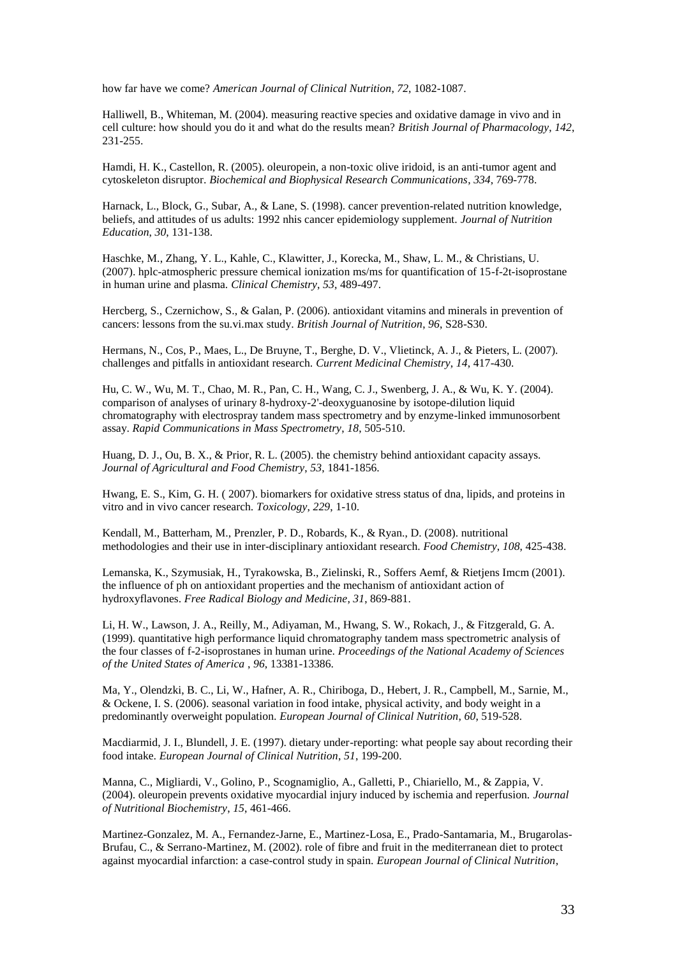how far have we come? *American Journal of Clinical Nutrition*, *72*, 1082-1087.

Halliwell, B., Whiteman, M. (2004). measuring reactive species and oxidative damage in vivo and in cell culture: how should you do it and what do the results mean? *British Journal of Pharmacology*, *142*, 231-255.

Hamdi, H. K., Castellon, R. (2005). oleuropein, a non-toxic olive iridoid, is an anti-tumor agent and cytoskeleton disruptor. *Biochemical and Biophysical Research Communications*, *334*, 769-778.

Harnack, L., Block, G., Subar, A., & Lane, S. (1998). cancer prevention-related nutrition knowledge, beliefs, and attitudes of us adults: 1992 nhis cancer epidemiology supplement. *Journal of Nutrition Education*, *30*, 131-138.

Haschke, M., Zhang, Y. L., Kahle, C., Klawitter, J., Korecka, M., Shaw, L. M., & Christians, U. (2007). hplc-atmospheric pressure chemical ionization ms/ms for quantification of 15-f-2t-isoprostane in human urine and plasma. *Clinical Chemistry*, *53*, 489-497.

Hercberg, S., Czernichow, S., & Galan, P. (2006). antioxidant vitamins and minerals in prevention of cancers: lessons from the su.vi.max study. *British Journal of Nutrition*, *96*, S28-S30.

Hermans, N., Cos, P., Maes, L., De Bruyne, T., Berghe, D. V., Vlietinck, A. J., & Pieters, L. (2007). challenges and pitfalls in antioxidant research. *Current Medicinal Chemistry*, *14*, 417-430.

Hu, C. W., Wu, M. T., Chao, M. R., Pan, C. H., Wang, C. J., Swenberg, J. A., & Wu, K. Y. (2004). comparison of analyses of urinary 8-hydroxy-2'-deoxyguanosine by isotope-dilution liquid chromatography with electrospray tandem mass spectrometry and by enzyme-linked immunosorbent assay. *Rapid Communications in Mass Spectrometry*, *18*, 505-510.

Huang, D. J., Ou, B. X., & Prior, R. L. (2005). the chemistry behind antioxidant capacity assays. *Journal of Agricultural and Food Chemistry*, *53*, 1841-1856.

Hwang, E. S., Kim, G. H. ( 2007). biomarkers for oxidative stress status of dna, lipids, and proteins in vitro and in vivo cancer research. *Toxicology*, *229*, 1-10.

Kendall, M., Batterham, M., Prenzler, P. D., Robards, K., & Ryan., D. (2008). nutritional methodologies and their use in inter-disciplinary antioxidant research. *Food Chemistry*, *108*, 425-438.

Lemanska, K., Szymusiak, H., Tyrakowska, B., Zielinski, R., Soffers Aemf, & Rietjens Imcm (2001). the influence of ph on antioxidant properties and the mechanism of antioxidant action of hydroxyflavones. *Free Radical Biology and Medicine*, *31*, 869-881.

Li, H. W., Lawson, J. A., Reilly, M., Adiyaman, M., Hwang, S. W., Rokach, J., & Fitzgerald, G. A. (1999). quantitative high performance liquid chromatography tandem mass spectrometric analysis of the four classes of f-2-isoprostanes in human urine. *Proceedings of the National Academy of Sciences of the United States of America* , *96*, 13381-13386.

Ma, Y., Olendzki, B. C., Li, W., Hafner, A. R., Chiriboga, D., Hebert, J. R., Campbell, M., Sarnie, M., & Ockene, I. S. (2006). seasonal variation in food intake, physical activity, and body weight in a predominantly overweight population. *European Journal of Clinical Nutrition*, *60*, 519-528.

Macdiarmid, J. I., Blundell, J. E. (1997). dietary under-reporting: what people say about recording their food intake. *European Journal of Clinical Nutrition*, *51*, 199-200.

Manna, C., Migliardi, V., Golino, P., Scognamiglio, A., Galletti, P., Chiariello, M., & Zappia, V. (2004). oleuropein prevents oxidative myocardial injury induced by ischemia and reperfusion. *Journal of Nutritional Biochemistry*, *15*, 461-466.

Martinez-Gonzalez, M. A., Fernandez-Jarne, E., Martinez-Losa, E., Prado-Santamaria, M., Brugarolas-Brufau, C., & Serrano-Martinez, M. (2002). role of fibre and fruit in the mediterranean diet to protect against myocardial infarction: a case-control study in spain. *European Journal of Clinical Nutrition*,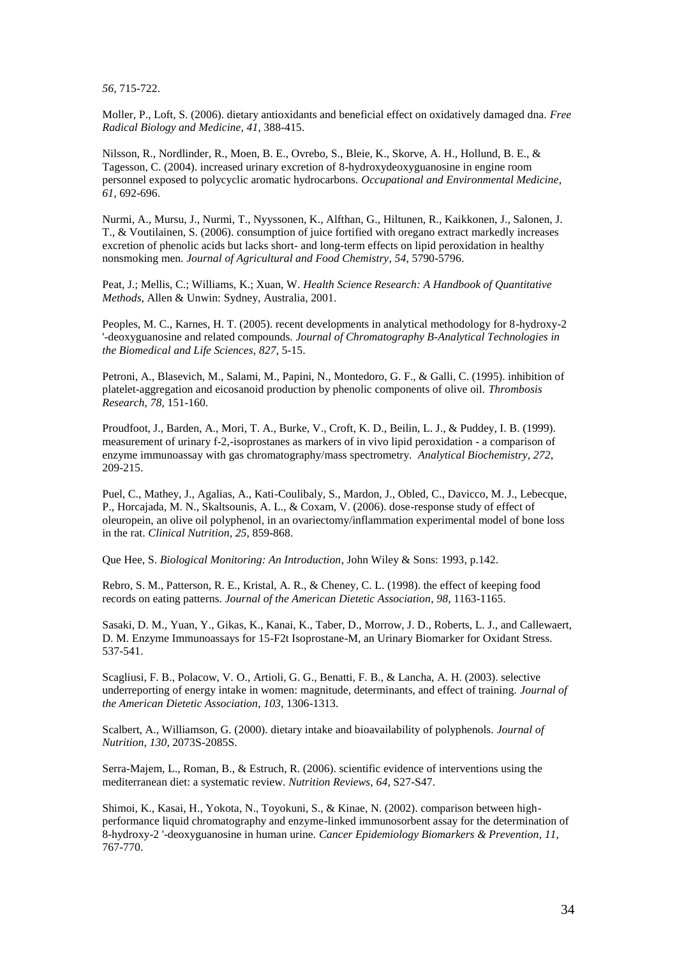*56*, 715-722.

Moller, P., Loft, S. (2006). dietary antioxidants and beneficial effect on oxidatively damaged dna. *Free Radical Biology and Medicine*, *41*, 388-415.

Nilsson, R., Nordlinder, R., Moen, B. E., Ovrebo, S., Bleie, K., Skorve, A. H., Hollund, B. E., & Tagesson, C. (2004). increased urinary excretion of 8-hydroxydeoxyguanosine in engine room personnel exposed to polycyclic aromatic hydrocarbons. *Occupational and Environmental Medicine*, *61*, 692-696.

Nurmi, A., Mursu, J., Nurmi, T., Nyyssonen, K., Alfthan, G., Hiltunen, R., Kaikkonen, J., Salonen, J. T., & Voutilainen, S. (2006). consumption of juice fortified with oregano extract markedly increases excretion of phenolic acids but lacks short- and long-term effects on lipid peroxidation in healthy nonsmoking men. *Journal of Agricultural and Food Chemistry*, *54*, 5790-5796.

Peat, J.; Mellis, C.; Williams, K.; Xuan, W. *Health Science Research: A Handbook of Quantitative Methods*, Allen & Unwin: Sydney, Australia, 2001.

Peoples, M. C., Karnes, H. T. (2005). recent developments in analytical methodology for 8-hydroxy-2 '-deoxyguanosine and related compounds. *Journal of Chromatography B-Analytical Technologies in the Biomedical and Life Sciences*, *827*, 5-15.

Petroni, A., Blasevich, M., Salami, M., Papini, N., Montedoro, G. F., & Galli, C. (1995). inhibition of platelet-aggregation and eicosanoid production by phenolic components of olive oil. *Thrombosis Research*, *78*, 151-160.

Proudfoot, J., Barden, A., Mori, T. A., Burke, V., Croft, K. D., Beilin, L. J., & Puddey, I. B. (1999). measurement of urinary f-2,-isoprostanes as markers of in vivo lipid peroxidation - a comparison of enzyme immunoassay with gas chromatography/mass spectrometry. *Analytical Biochemistry*, *272*, 209-215.

Puel, C., Mathey, J., Agalias, A., Kati-Coulibaly, S., Mardon, J., Obled, C., Davicco, M. J., Lebecque, P., Horcajada, M. N., Skaltsounis, A. L., & Coxam, V. (2006). dose-response study of effect of oleuropein, an olive oil polyphenol, in an ovariectomy/inflammation experimental model of bone loss in the rat. *Clinical Nutrition*, *25*, 859-868.

Que Hee, S. *Biological Monitoring: An Introduction*, John Wiley & Sons: 1993, p.142.

Rebro, S. M., Patterson, R. E., Kristal, A. R., & Cheney, C. L. (1998). the effect of keeping food records on eating patterns. *Journal of the American Dietetic Association*, *98*, 1163-1165.

Sasaki, D. M., Yuan, Y., Gikas, K., Kanai, K., Taber, D., Morrow, J. D., Roberts, L. J., and Callewaert, D. M. Enzyme Immunoassays for 15-F2t Isoprostane-M, an Urinary Biomarker for Oxidant Stress. 537-541.

Scagliusi, F. B., Polacow, V. O., Artioli, G. G., Benatti, F. B., & Lancha, A. H. (2003). selective underreporting of energy intake in women: magnitude, determinants, and effect of training. *Journal of the American Dietetic Association*, *103*, 1306-1313.

Scalbert, A., Williamson, G. (2000). dietary intake and bioavailability of polyphenols. *Journal of Nutrition*, *130*, 2073S-2085S.

Serra-Majem, L., Roman, B., & Estruch, R. (2006). scientific evidence of interventions using the mediterranean diet: a systematic review. *Nutrition Reviews*, *64*, S27-S47.

Shimoi, K., Kasai, H., Yokota, N., Toyokuni, S., & Kinae, N. (2002). comparison between highperformance liquid chromatography and enzyme-linked immunosorbent assay for the determination of 8-hydroxy-2 '-deoxyguanosine in human urine. *Cancer Epidemiology Biomarkers & Prevention*, *11*, 767-770.